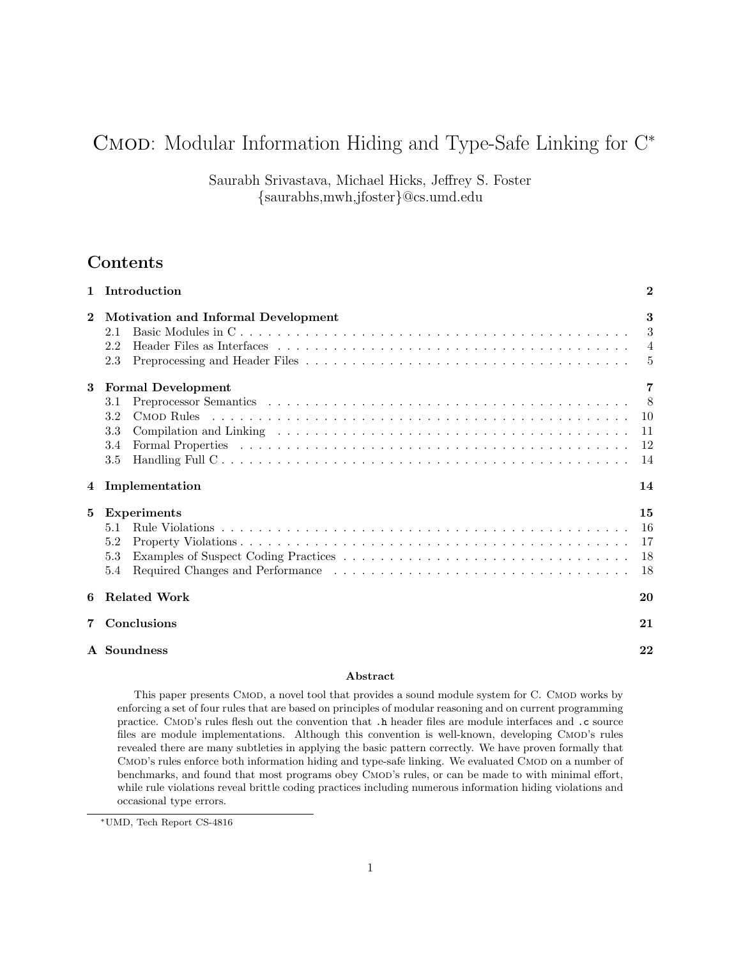# CMOD: Modular Information Hiding and Type-Safe Linking for C<sup>∗</sup>

Saurabh Srivastava, Michael Hicks, Jeffrey S. Foster {saurabhs,mwh,jfoster}@cs.umd.edu

# Contents

|          | Introduction                                                                                                                                                                                                                                                                                   | $\mathbf{2}$                    |
|----------|------------------------------------------------------------------------------------------------------------------------------------------------------------------------------------------------------------------------------------------------------------------------------------------------|---------------------------------|
| $\bf{2}$ | Motivation and Informal Development<br>2.1<br>2.2<br>2.3                                                                                                                                                                                                                                       | 3<br>3<br>$\overline{4}$<br>5   |
| 3        | <b>Formal Development</b><br>3.1<br>3.2<br>3.3<br>Formal Properties (a) and a contract of the contract of the contract of the contract of the contract of the contract of the contract of the contract of the contract of the contract of the contract of the contract of the co<br>3.4<br>3.5 | 7<br>- 8<br>-11<br>- 12<br>-14  |
| 4        | Implementation                                                                                                                                                                                                                                                                                 | 14                              |
| 5        | Experiments<br>5.1<br>5.2<br>5.3<br>Required Changes and Performance (a) and solution of the set of the set of the set of the set of the set of the set of the set of the set of the set of the set of the set of the set of the set of the set of the set of the<br>5.4                       | 15<br>-16<br>-17<br>- 18<br>-18 |
| 6        | <b>Related Work</b>                                                                                                                                                                                                                                                                            | 20                              |
| 7        | Conclusions                                                                                                                                                                                                                                                                                    | 21                              |
|          | A Soundness                                                                                                                                                                                                                                                                                    | 22                              |
|          |                                                                                                                                                                                                                                                                                                |                                 |

#### Abstract

This paper presents CMOD, a novel tool that provides a sound module system for C. CMOD works by enforcing a set of four rules that are based on principles of modular reasoning and on current programming practice. Cmod's rules flesh out the convention that .h header files are module interfaces and .c source files are module implementations. Although this convention is well-known, developing CMOD's rules revealed there are many subtleties in applying the basic pattern correctly. We have proven formally that CMOD's rules enforce both information hiding and type-safe linking. We evaluated CMOD on a number of benchmarks, and found that most programs obey CMOD's rules, or can be made to with minimal effort, while rule violations reveal brittle coding practices including numerous information hiding violations and occasional type errors.

<sup>∗</sup>UMD, Tech Report CS-4816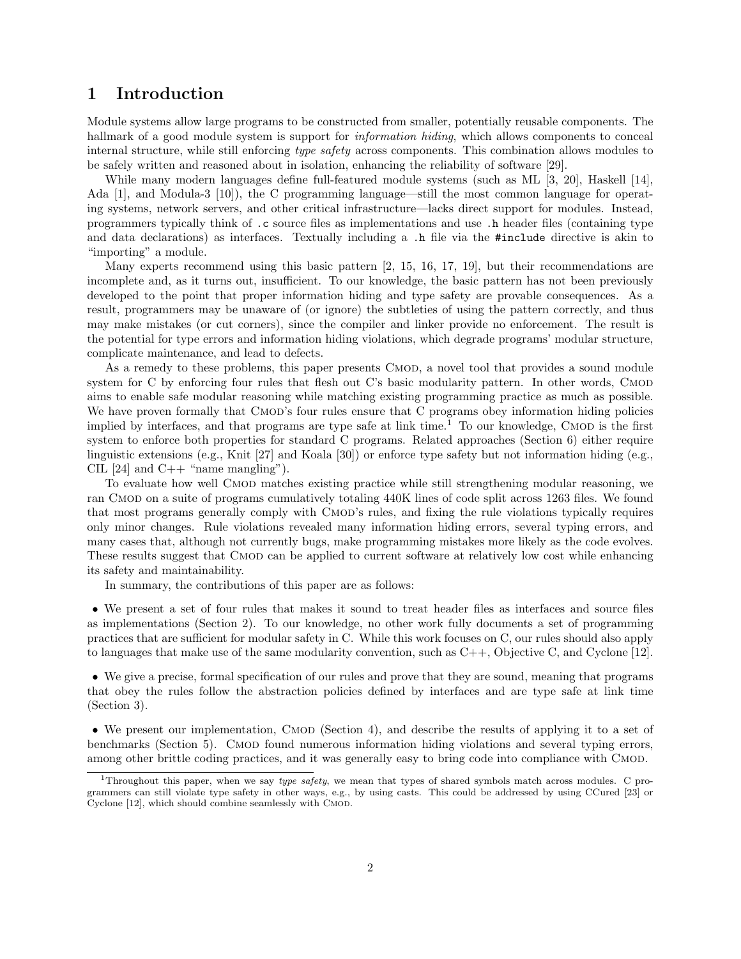# 1 Introduction

Module systems allow large programs to be constructed from smaller, potentially reusable components. The hallmark of a good module system is support for *information hiding*, which allows components to conceal internal structure, while still enforcing type safety across components. This combination allows modules to be safely written and reasoned about in isolation, enhancing the reliability of software [29].

While many modern languages define full-featured module systems (such as ML [3, 20], Haskell [14], Ada [1], and Modula-3 [10]), the C programming language—still the most common language for operating systems, network servers, and other critical infrastructure—lacks direct support for modules. Instead, programmers typically think of .c source files as implementations and use .h header files (containing type and data declarations) as interfaces. Textually including a .h file via the #include directive is akin to "importing" a module.

Many experts recommend using this basic pattern [2, 15, 16, 17, 19], but their recommendations are incomplete and, as it turns out, insufficient. To our knowledge, the basic pattern has not been previously developed to the point that proper information hiding and type safety are provable consequences. As a result, programmers may be unaware of (or ignore) the subtleties of using the pattern correctly, and thus may make mistakes (or cut corners), since the compiler and linker provide no enforcement. The result is the potential for type errors and information hiding violations, which degrade programs' modular structure, complicate maintenance, and lead to defects.

As a remedy to these problems, this paper presents CMOD, a novel tool that provides a sound module system for C by enforcing four rules that flesh out C's basic modularity pattern. In other words, CMOD aims to enable safe modular reasoning while matching existing programming practice as much as possible. We have proven formally that CMOD's four rules ensure that C programs obey information hiding policies implied by interfaces, and that programs are type safe at link time.<sup>1</sup> To our knowledge, CMOD is the first system to enforce both properties for standard C programs. Related approaches (Section 6) either require linguistic extensions (e.g., Knit [27] and Koala [30]) or enforce type safety but not information hiding (e.g., CIL [24] and  $C_{++}$  "name mangling").

To evaluate how well CMOD matches existing practice while still strengthening modular reasoning, we ran Cmod on a suite of programs cumulatively totaling 440K lines of code split across 1263 files. We found that most programs generally comply with Cmod's rules, and fixing the rule violations typically requires only minor changes. Rule violations revealed many information hiding errors, several typing errors, and many cases that, although not currently bugs, make programming mistakes more likely as the code evolves. These results suggest that CMOD can be applied to current software at relatively low cost while enhancing its safety and maintainability.

In summary, the contributions of this paper are as follows:

• We present a set of four rules that makes it sound to treat header files as interfaces and source files as implementations (Section 2). To our knowledge, no other work fully documents a set of programming practices that are sufficient for modular safety in C. While this work focuses on C, our rules should also apply to languages that make use of the same modularity convention, such as C++, Objective C, and Cyclone [12].

• We give a precise, formal specification of our rules and prove that they are sound, meaning that programs that obey the rules follow the abstraction policies defined by interfaces and are type safe at link time (Section 3).

• We present our implementation, CMOD (Section 4), and describe the results of applying it to a set of benchmarks (Section 5). CMOD found numerous information hiding violations and several typing errors, among other brittle coding practices, and it was generally easy to bring code into compliance with CMOD.

<sup>&</sup>lt;sup>1</sup>Throughout this paper, when we say type safety, we mean that types of shared symbols match across modules. C programmers can still violate type safety in other ways, e.g., by using casts. This could be addressed by using CCured [23] or Cyclone [12], which should combine seamlessly with CMOD.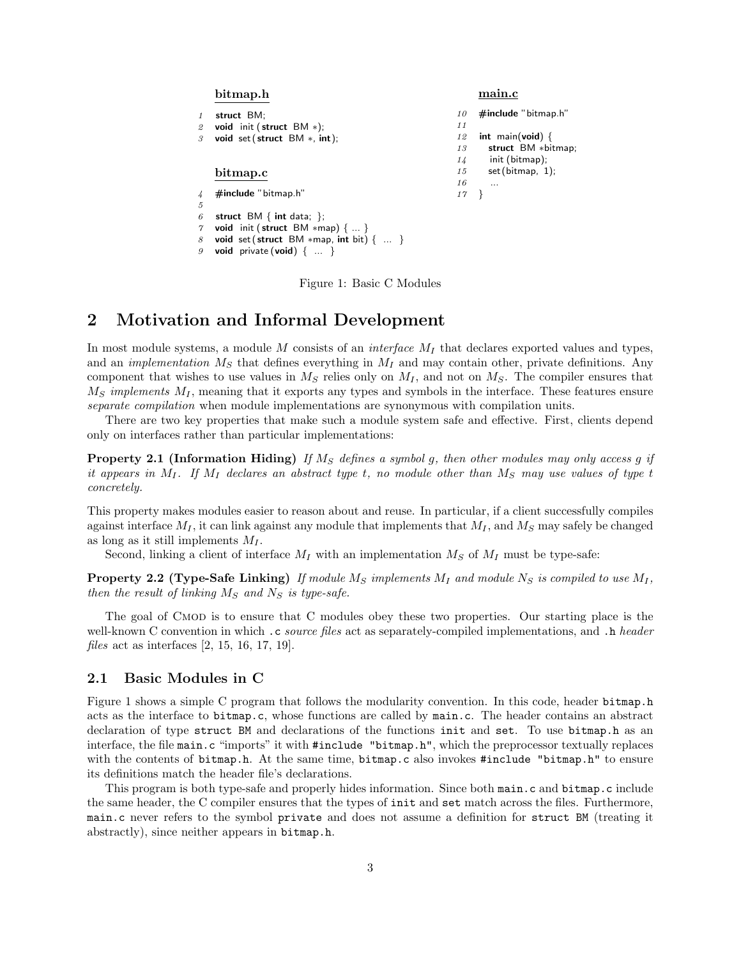|   | bitmap.h                                          |    | main.c                  |
|---|---------------------------------------------------|----|-------------------------|
|   | struct BM:                                        | 10 | $\#$ include "bitmap.h" |
| 2 | void init (struct $BM *$ );                       | 11 |                         |
| 3 | void set (struct $BM *$ , int);                   | 12 | int main(void) $\{$     |
|   |                                                   | 13 | struct BM *bitmap;      |
|   |                                                   | 14 | init (bitmap);          |
|   | bitmap.c                                          | 15 | set(bitmap, 1);         |
|   |                                                   | 16 | $\cdots$                |
| 4 | $\#$ include "bitmap.h"                           | 17 |                         |
| 5 |                                                   |    |                         |
| 6 | struct $BM \{ int data; \}$ ;                     |    |                         |
| 7 | <b>void</b> init (struct $BM *map)$ { }           |    |                         |
| 8 | void set (struct BM *map, int bit) $\{ \dots \}$  |    |                         |
| 9 | <b>void</b> private ( <b>void</b> ) $\{ \dots \}$ |    |                         |

Figure 1: Basic C Modules

# 2 Motivation and Informal Development

In most module systems, a module M consists of an *interface*  $M_I$  that declares exported values and types, and an *implementation*  $M<sub>S</sub>$  that defines everything in  $M<sub>I</sub>$  and may contain other, private definitions. Any component that wishes to use values in  $M_S$  relies only on  $M_I$ , and not on  $M_S$ . The compiler ensures that  $M<sub>S</sub>$  implements  $M<sub>I</sub>$ , meaning that it exports any types and symbols in the interface. These features ensure separate compilation when module implementations are synonymous with compilation units.

There are two key properties that make such a module system safe and effective. First, clients depend only on interfaces rather than particular implementations:

**Property 2.1 (Information Hiding)** If  $M_S$  defines a symbol g, then other modules may only access g if it appears in  $M_I$ . If  $M_I$  declares an abstract type t, no module other than  $M_S$  may use values of type t concretely.

This property makes modules easier to reason about and reuse. In particular, if a client successfully compiles against interface  $M_I$ , it can link against any module that implements that  $M_I$ , and  $M_S$  may safely be changed as long as it still implements  $M_I$ .

Second, linking a client of interface  $M_I$  with an implementation  $M_S$  of  $M_I$  must be type-safe:

**Property 2.2 (Type-Safe Linking)** If module  $M_S$  implements  $M_I$  and module  $N_S$  is compiled to use  $M_I$ , then the result of linking  $M_S$  and  $N_S$  is type-safe.

The goal of CMOD is to ensure that C modules obey these two properties. Our starting place is the well-known C convention in which .c source files act as separately-compiled implementations, and .h header files act as interfaces [2, 15, 16, 17, 19].

#### 2.1 Basic Modules in C

Figure 1 shows a simple C program that follows the modularity convention. In this code, header bitmap.h acts as the interface to bitmap.c, whose functions are called by main.c. The header contains an abstract declaration of type struct BM and declarations of the functions init and set. To use bitmap.h as an interface, the file main.c "imports" it with #include "bitmap.h", which the preprocessor textually replaces with the contents of bitmap.h. At the same time, bitmap.c also invokes #include "bitmap.h" to ensure its definitions match the header file's declarations.

This program is both type-safe and properly hides information. Since both main.c and bitmap.c include the same header, the C compiler ensures that the types of init and set match across the files. Furthermore, main.c never refers to the symbol private and does not assume a definition for struct BM (treating it abstractly), since neither appears in bitmap.h.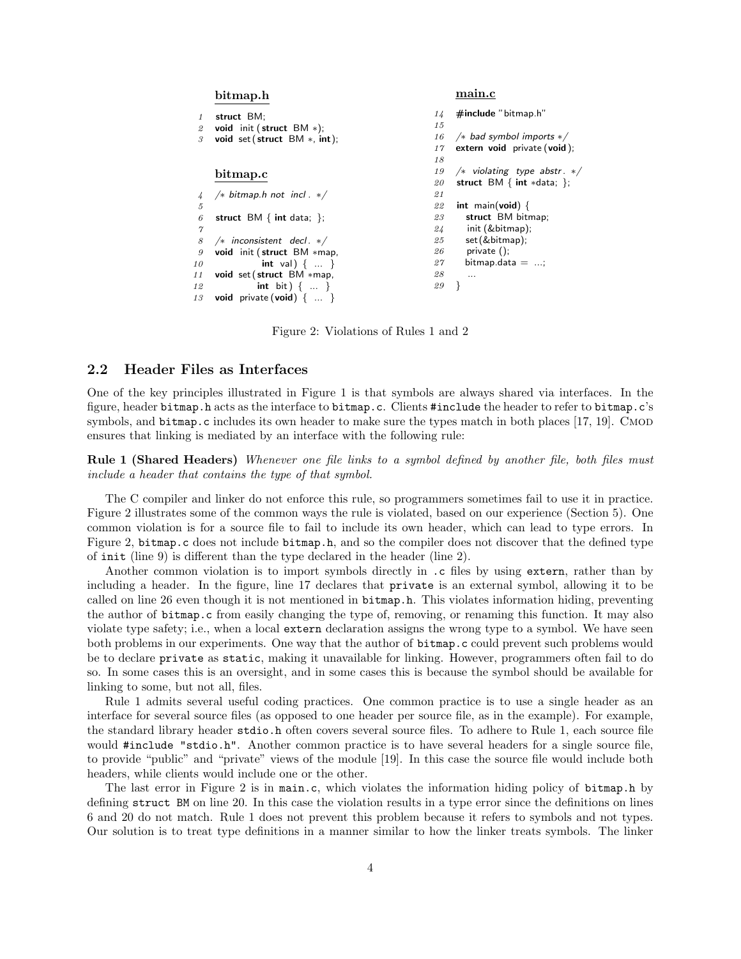```
bitmap.h
1 struct BM;
2 void init ( struct BM ∗);
3 void set ( struct BM ∗, int);
    bitmap.c
4 /∗ bitmap.h not incl . ∗/
5
6 struct BM { int data; };
\gamma8 /* inconsistent decl. */
9 void init (struct BM ∗map,
10 int val) \{ ... \}11 void set (struct BM *map,
12 int bit) \{ ... \}13 void private (void) \{ ... \}main.c
                                                14 #include "bitmap.h"
                                                15
                                                16 /∗ bad symbol imports ∗/
                                                17 extern void private (void);
                                                18
                                                19 /* violating type abstr. */
                                               20 struct BM { int ∗data; };
                                                21
                                                22 int main(void) {
                                                23 struct BM bitmap;
                                                24 init (&bitmap);
                                                25 set(&bitmap);
                                                26 private ();
                                                27 bitmap.data = ...;
                                                28 ...
                                                29 }
```
Figure 2: Violations of Rules 1 and 2

#### 2.2 Header Files as Interfaces

One of the key principles illustrated in Figure 1 is that symbols are always shared via interfaces. In the figure, header bitmap.h acts as the interface to bitmap.c. Clients #include the header to refer to bitmap.c's symbols, and **bitmap.c** includes its own header to make sure the types match in both places [17, 19]. CMOD ensures that linking is mediated by an interface with the following rule:

Rule 1 (Shared Headers) Whenever one file links to a symbol defined by another file, both files must include a header that contains the type of that symbol.

The C compiler and linker do not enforce this rule, so programmers sometimes fail to use it in practice. Figure 2 illustrates some of the common ways the rule is violated, based on our experience (Section 5). One common violation is for a source file to fail to include its own header, which can lead to type errors. In Figure 2, bitmap.c does not include bitmap.h, and so the compiler does not discover that the defined type of init (line 9) is different than the type declared in the header (line 2).

Another common violation is to import symbols directly in .c files by using extern, rather than by including a header. In the figure, line 17 declares that private is an external symbol, allowing it to be called on line 26 even though it is not mentioned in bitmap.h. This violates information hiding, preventing the author of bitmap.c from easily changing the type of, removing, or renaming this function. It may also violate type safety; i.e., when a local extern declaration assigns the wrong type to a symbol. We have seen both problems in our experiments. One way that the author of bitmap.c could prevent such problems would be to declare private as static, making it unavailable for linking. However, programmers often fail to do so. In some cases this is an oversight, and in some cases this is because the symbol should be available for linking to some, but not all, files.

Rule 1 admits several useful coding practices. One common practice is to use a single header as an interface for several source files (as opposed to one header per source file, as in the example). For example, the standard library header stdio.h often covers several source files. To adhere to Rule 1, each source file would #include "stdio.h". Another common practice is to have several headers for a single source file, to provide "public" and "private" views of the module [19]. In this case the source file would include both headers, while clients would include one or the other.

The last error in Figure 2 is in main.c, which violates the information hiding policy of bitmap.h by defining struct BM on line 20. In this case the violation results in a type error since the definitions on lines 6 and 20 do not match. Rule 1 does not prevent this problem because it refers to symbols and not types. Our solution is to treat type definitions in a manner similar to how the linker treats symbols. The linker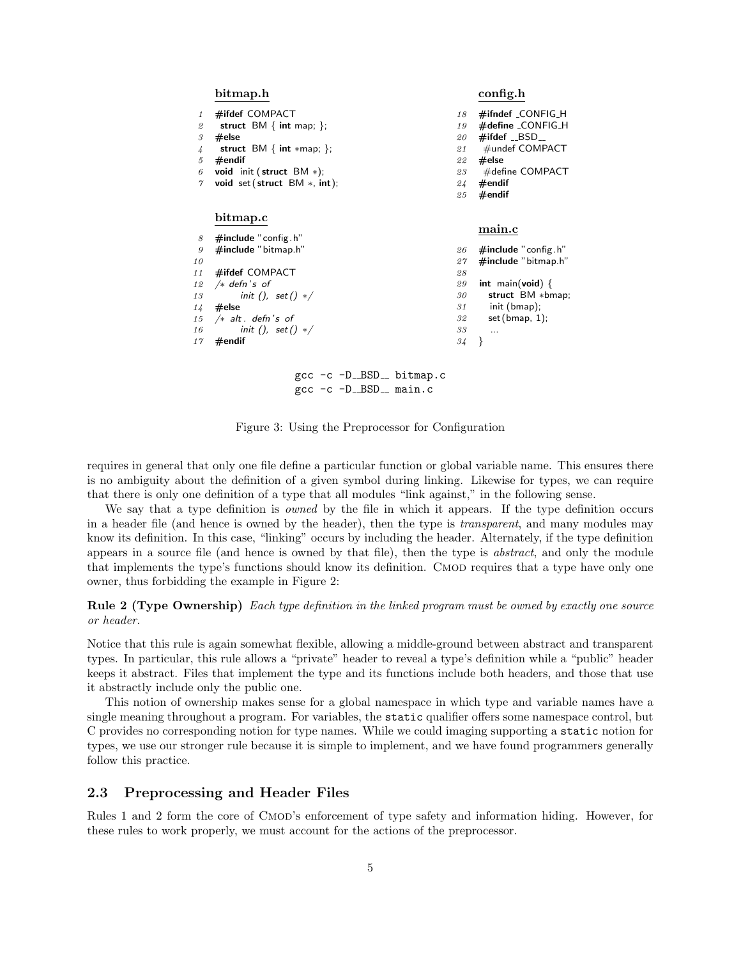| bitmap.h                        | config.h                                     |  |
|---------------------------------|----------------------------------------------|--|
| #ifdef COMPACT                  | $\#$ ifndef $\angle$ CONFIG $\angle$ H<br>18 |  |
| struct $BM \{ int map; \}$ ;    | #define _CONFIG_H<br>19                      |  |
| $#$ else                        | $\#$ ifdef __BSD__<br>20                     |  |
| struct $BM \{ int *map; \}$ ;   | #undef COMPACT<br>21                         |  |
| $\#$ endif                      | $#$ else<br>22                               |  |
| void init (struct $BM *$ );     | #define COMPACT<br>23                        |  |
| void set (struct $BM *$ , int); | $\#$ endif<br>24                             |  |
|                                 | $#$ endif<br>25                              |  |
| bitmap.c                        |                                              |  |
|                                 | main.c                                       |  |
| $\#$ include "config.h"         |                                              |  |
| $\#$ include "bitmap.h"         | $\#$ include "config.h"<br>26                |  |
|                                 |                                              |  |
|                                 | $\#$ include "bitmap.h"<br>27                |  |
| #ifdef COMPACT                  | 28                                           |  |
| $/*$ defn's of                  | int main(void) $\{$<br>29                    |  |
| init (), set () $*/$            | struct BM *bmap;<br>30                       |  |
| $#$ else                        | $init$ (bmap);<br>31                         |  |
| $/* alt. defn's of$             | set(bmap, 1);<br>32                          |  |
| init (), set () $*/$            | 33<br>$\cdots$                               |  |

 $\texttt{gcc}$  -c  $-D$ \_BSD\_\_ bitmap.c  $\texttt{gcc}$  -c -D<sub>--</sub>BSD<sub>--</sub> main.c

Figure 3: Using the Preprocessor for Configuration

requires in general that only one file define a particular function or global variable name. This ensures there is no ambiguity about the definition of a given symbol during linking. Likewise for types, we can require that there is only one definition of a type that all modules "link against," in the following sense.

We say that a type definition is *owned* by the file in which it appears. If the type definition occurs in a header file (and hence is owned by the header), then the type is transparent, and many modules may know its definition. In this case, "linking" occurs by including the header. Alternately, if the type definition appears in a source file (and hence is owned by that file), then the type is abstract, and only the module that implements the type's functions should know its definition. Cmod requires that a type have only one owner, thus forbidding the example in Figure 2:

Rule 2 (Type Ownership) Each type definition in the linked program must be owned by exactly one source or header.

Notice that this rule is again somewhat flexible, allowing a middle-ground between abstract and transparent types. In particular, this rule allows a "private" header to reveal a type's definition while a "public" header keeps it abstract. Files that implement the type and its functions include both headers, and those that use it abstractly include only the public one.

This notion of ownership makes sense for a global namespace in which type and variable names have a single meaning throughout a program. For variables, the static qualifier offers some namespace control, but C provides no corresponding notion for type names. While we could imaging supporting a static notion for types, we use our stronger rule because it is simple to implement, and we have found programmers generally follow this practice.

#### 2.3 Preprocessing and Header Files

Rules 1 and 2 form the core of Cmod's enforcement of type safety and information hiding. However, for these rules to work properly, we must account for the actions of the preprocessor.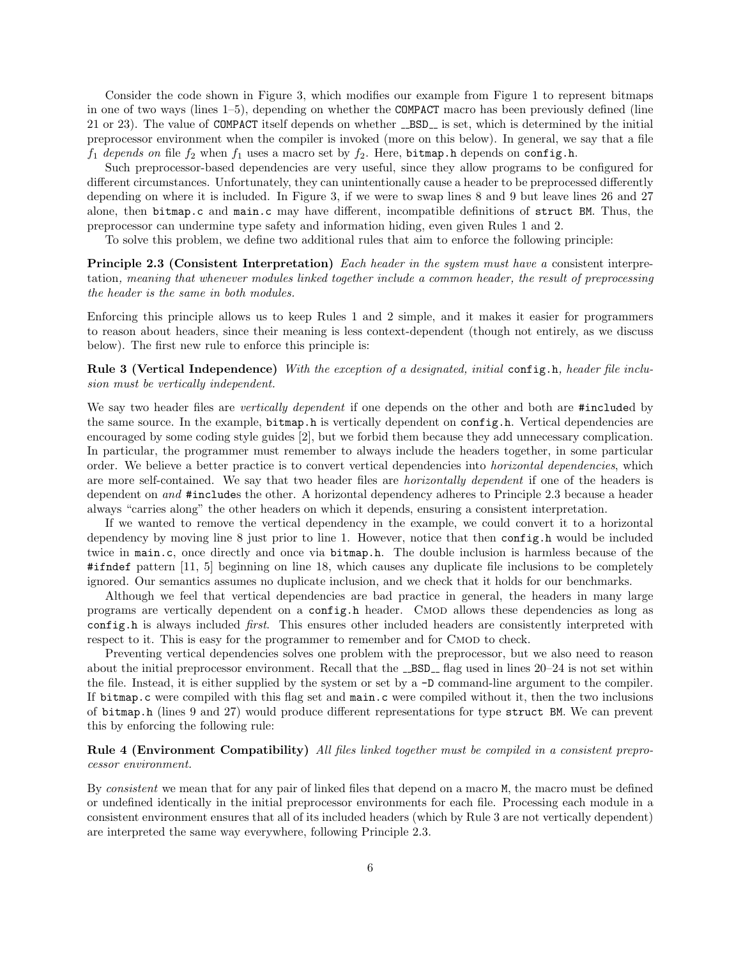Consider the code shown in Figure 3, which modifies our example from Figure 1 to represent bitmaps in one of two ways (lines 1–5), depending on whether the COMPACT macro has been previously defined (line 21 or 23). The value of COMPACT itself depends on whether \_BSD\_ is set, which is determined by the initial preprocessor environment when the compiler is invoked (more on this below). In general, we say that a file  $f_1$  depends on file  $f_2$  when  $f_1$  uses a macro set by  $f_2$ . Here, bitmap.h depends on config.h.

Such preprocessor-based dependencies are very useful, since they allow programs to be configured for different circumstances. Unfortunately, they can unintentionally cause a header to be preprocessed differently depending on where it is included. In Figure 3, if we were to swap lines 8 and 9 but leave lines 26 and 27 alone, then bitmap.c and main.c may have different, incompatible definitions of struct BM. Thus, the preprocessor can undermine type safety and information hiding, even given Rules 1 and 2.

To solve this problem, we define two additional rules that aim to enforce the following principle:

**Principle 2.3 (Consistent Interpretation)** Each header in the system must have a consistent interpretation, meaning that whenever modules linked together include a common header, the result of preprocessing the header is the same in both modules.

Enforcing this principle allows us to keep Rules 1 and 2 simple, and it makes it easier for programmers to reason about headers, since their meaning is less context-dependent (though not entirely, as we discuss below). The first new rule to enforce this principle is:

Rule 3 (Vertical Independence) With the exception of a designated, initial config.h, header file inclusion must be vertically independent.

We say two header files are *vertically dependent* if one depends on the other and both are #included by the same source. In the example, bitmap.h is vertically dependent on config.h. Vertical dependencies are encouraged by some coding style guides [2], but we forbid them because they add unnecessary complication. In particular, the programmer must remember to always include the headers together, in some particular order. We believe a better practice is to convert vertical dependencies into *horizontal dependencies*, which are more self-contained. We say that two header files are *horizontally dependent* if one of the headers is dependent on and #includes the other. A horizontal dependency adheres to Principle 2.3 because a header always "carries along" the other headers on which it depends, ensuring a consistent interpretation.

If we wanted to remove the vertical dependency in the example, we could convert it to a horizontal dependency by moving line 8 just prior to line 1. However, notice that then config.h would be included twice in main.c, once directly and once via bitmap.h. The double inclusion is harmless because of the #ifndef pattern [11, 5] beginning on line 18, which causes any duplicate file inclusions to be completely ignored. Our semantics assumes no duplicate inclusion, and we check that it holds for our benchmarks.

Although we feel that vertical dependencies are bad practice in general, the headers in many large programs are vertically dependent on a config.h header. CMOD allows these dependencies as long as config.h is always included *first*. This ensures other included headers are consistently interpreted with respect to it. This is easy for the programmer to remember and for CMOD to check.

Preventing vertical dependencies solves one problem with the preprocessor, but we also need to reason about the initial preprocessor environment. Recall that the  $\text{LBSD}_-$  flag used in lines 20–24 is not set within the file. Instead, it is either supplied by the system or set by a -D command-line argument to the compiler. If bitmap.c were compiled with this flag set and main.c were compiled without it, then the two inclusions of bitmap.h (lines 9 and 27) would produce different representations for type struct BM. We can prevent this by enforcing the following rule:

#### Rule 4 (Environment Compatibility) All files linked together must be compiled in a consistent preprocessor environment.

By consistent we mean that for any pair of linked files that depend on a macro M, the macro must be defined or undefined identically in the initial preprocessor environments for each file. Processing each module in a consistent environment ensures that all of its included headers (which by Rule 3 are not vertically dependent) are interpreted the same way everywhere, following Principle 2.3.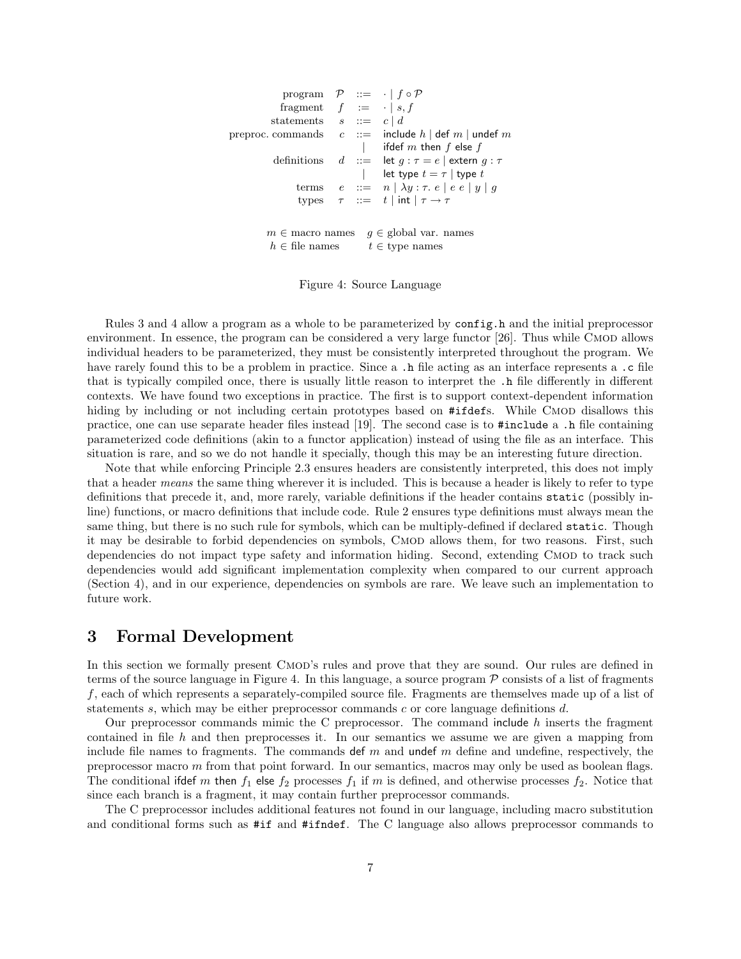| program $\mathcal{P} ::= \cdot   f \circ \mathcal{P}$ |  |                                                                           |
|-------------------------------------------------------|--|---------------------------------------------------------------------------|
| fragment $f := \cdot   s, f$                          |  |                                                                           |
| statements $s ::= c   d$                              |  |                                                                           |
|                                                       |  | preproc. commands $c ::=$ include $h  $ def $m  $ undef $m$               |
|                                                       |  | ifdef m then f else f                                                     |
|                                                       |  | definitions $d ::= \text{let } g : \tau = e \mid \text{extern } g : \tau$ |
|                                                       |  | let type $t = \tau$   type $t$                                            |
|                                                       |  | terms $e ::= n   \lambda y : \tau e   e e   y   q$                        |
|                                                       |  | types $\tau$ ::= t   int   $\tau \rightarrow \tau$                        |
|                                                       |  |                                                                           |
| $m \in$ macro names                                   |  | $q \in \text{global var. names}$                                          |
|                                                       |  |                                                                           |
| $h \in \text{file names}$                             |  | $t \in$ type names                                                        |

Figure 4: Source Language

Rules 3 and 4 allow a program as a whole to be parameterized by config.h and the initial preprocessor environment. In essence, the program can be considered a very large functor [26]. Thus while CMOD allows individual headers to be parameterized, they must be consistently interpreted throughout the program. We have rarely found this to be a problem in practice. Since a .h file acting as an interface represents a .c file that is typically compiled once, there is usually little reason to interpret the .h file differently in different contexts. We have found two exceptions in practice. The first is to support context-dependent information hiding by including or not including certain prototypes based on #ifdefs. While CMOD disallows this practice, one can use separate header files instead [19]. The second case is to #include a .h file containing parameterized code definitions (akin to a functor application) instead of using the file as an interface. This situation is rare, and so we do not handle it specially, though this may be an interesting future direction.

Note that while enforcing Principle 2.3 ensures headers are consistently interpreted, this does not imply that a header means the same thing wherever it is included. This is because a header is likely to refer to type definitions that precede it, and, more rarely, variable definitions if the header contains static (possibly inline) functions, or macro definitions that include code. Rule 2 ensures type definitions must always mean the same thing, but there is no such rule for symbols, which can be multiply-defined if declared static. Though it may be desirable to forbid dependencies on symbols, CMOD allows them, for two reasons. First, such dependencies do not impact type safety and information hiding. Second, extending CMOD to track such dependencies would add significant implementation complexity when compared to our current approach (Section 4), and in our experience, dependencies on symbols are rare. We leave such an implementation to future work.

### 3 Formal Development

In this section we formally present CMOD's rules and prove that they are sound. Our rules are defined in terms of the source language in Figure 4. In this language, a source program  $P$  consists of a list of fragments f, each of which represents a separately-compiled source file. Fragments are themselves made up of a list of statements s, which may be either preprocessor commands c or core language definitions  $d$ .

Our preprocessor commands mimic the C preprocessor. The command include  $h$  inserts the fragment contained in file h and then preprocesses it. In our semantics we assume we are given a mapping from include file names to fragments. The commands def  $m$  and undef  $m$  define and undefine, respectively, the preprocessor macro m from that point forward. In our semantics, macros may only be used as boolean flags. The conditional ifdef m then  $f_1$  else  $f_2$  processes  $f_1$  if m is defined, and otherwise processes  $f_2$ . Notice that since each branch is a fragment, it may contain further preprocessor commands.

The C preprocessor includes additional features not found in our language, including macro substitution and conditional forms such as #if and #ifndef. The C language also allows preprocessor commands to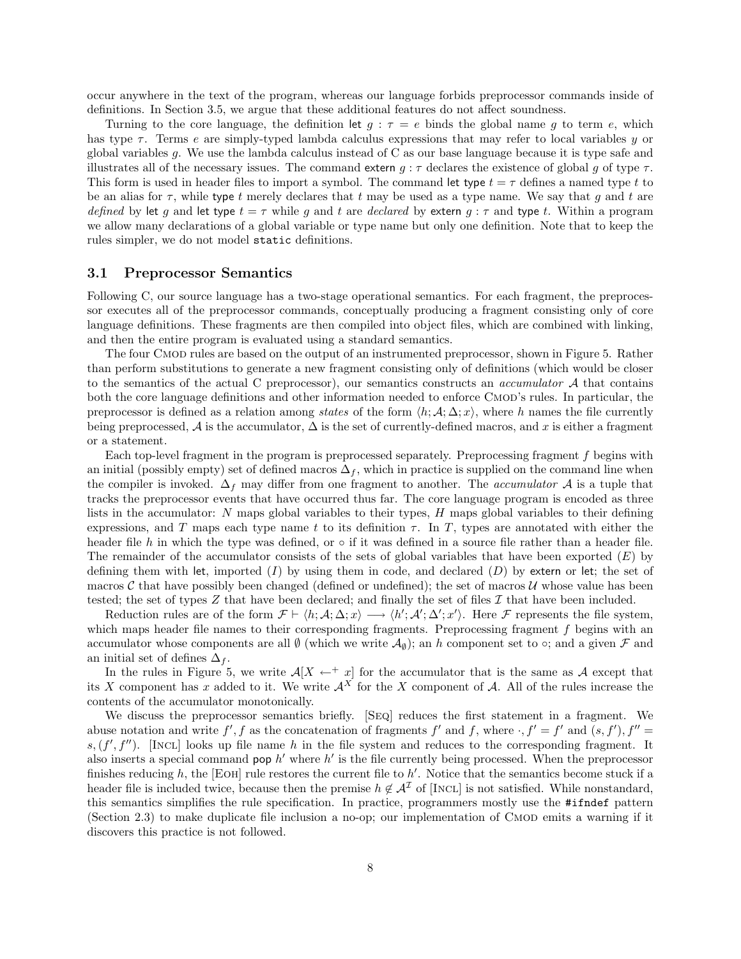occur anywhere in the text of the program, whereas our language forbids preprocessor commands inside of definitions. In Section 3.5, we argue that these additional features do not affect soundness.

Turning to the core language, the definition let  $q : \tau = e$  binds the global name q to term e, which has type  $\tau$ . Terms e are simply-typed lambda calculus expressions that may refer to local variables y or global variables  $g$ . We use the lambda calculus instead of C as our base language because it is type safe and illustrates all of the necessary issues. The command extern  $q : \tau$  declares the existence of global q of type  $\tau$ . This form is used in header files to import a symbol. The command let type  $t = \tau$  defines a named type t to be an alias for  $\tau$ , while type t merely declares that t may be used as a type name. We say that g and t are defined by let g and let type  $t = \tau$  while g and t are declared by extern g:  $\tau$  and type t. Within a program we allow many declarations of a global variable or type name but only one definition. Note that to keep the rules simpler, we do not model static definitions.

#### 3.1 Preprocessor Semantics

Following C, our source language has a two-stage operational semantics. For each fragment, the preprocessor executes all of the preprocessor commands, conceptually producing a fragment consisting only of core language definitions. These fragments are then compiled into object files, which are combined with linking, and then the entire program is evaluated using a standard semantics.

The four Cmod rules are based on the output of an instrumented preprocessor, shown in Figure 5. Rather than perform substitutions to generate a new fragment consisting only of definitions (which would be closer to the semantics of the actual C preprocessor), our semantics constructs an *accumulator*  $A$  that contains both the core language definitions and other information needed to enforce CMOD's rules. In particular, the preprocessor is defined as a relation among states of the form  $\langle h; \mathcal{A}; \Delta; x \rangle$ , where h names the file currently being preprocessed,  $\mathcal A$  is the accumulator,  $\Delta$  is the set of currently-defined macros, and x is either a fragment or a statement.

Each top-level fragment in the program is preprocessed separately. Preprocessing fragment f begins with an initial (possibly empty) set of defined macros  $\Delta_f$ , which in practice is supplied on the command line when the compiler is invoked.  $\Delta_f$  may differ from one fragment to another. The *accumulator* A is a tuple that tracks the preprocessor events that have occurred thus far. The core language program is encoded as three lists in the accumulator:  $N$  maps global variables to their types,  $H$  maps global variables to their defining expressions, and T maps each type name t to its definition  $\tau$ . In T, types are annotated with either the header file h in which the type was defined, or  $\circ$  if it was defined in a source file rather than a header file. The remainder of the accumulator consists of the sets of global variables that have been exported  $(E)$  by defining them with let, imported  $(I)$  by using them in code, and declared  $(D)$  by extern or let; the set of macros  $\mathcal C$  that have possibly been changed (defined or undefined); the set of macros  $\mathcal U$  whose value has been tested; the set of types Z that have been declared; and finally the set of files  $\mathcal I$  that have been included.

Reduction rules are of the form  $\mathcal{F} \vdash \langle h; \mathcal{A}; \Delta; x \rangle \longrightarrow \langle h'; \mathcal{A}'; \Delta'; x' \rangle$ . Here  $\mathcal{F}$  represents the file system, which maps header file names to their corresponding fragments. Preprocessing fragment f begins with an accumulator whose components are all  $\emptyset$  (which we write  $\mathcal{A}_{\emptyset}$ ); an h component set to  $\circ$ ; and a given  $\mathcal F$  and an initial set of defines  $\Delta_f$ .

In the rules in Figure 5, we write  $\mathcal{A}[X \leftarrow^+ x]$  for the accumulator that is the same as A except that its X component has x added to it. We write  $A^{X}$  for the X component of A. All of the rules increase the contents of the accumulator monotonically.

We discuss the preprocessor semantics briefly. [Seq] reduces the first statement in a fragment. We abuse notation and write  $f', f$  as the concatenation of fragments  $f'$  and  $f$ , where  $\cdot, f' = f'$  and  $(s, f'), f'' = f'$  $s,(f',f'')$ . [INCL] looks up file name h in the file system and reduces to the corresponding fragment. It also inserts a special command pop  $h'$  where  $h'$  is the file currently being processed. When the preprocessor finishes reducing h, the [EOH] rule restores the current file to  $h'$ . Notice that the semantics become stuck if a header file is included twice, because then the premise  $h \notin \mathcal{A}^{\mathcal{I}}$  of [INCL] is not satisfied. While nonstandard, this semantics simplifies the rule specification. In practice, programmers mostly use the #ifndef pattern (Section 2.3) to make duplicate file inclusion a no-op; our implementation of Cmod emits a warning if it discovers this practice is not followed.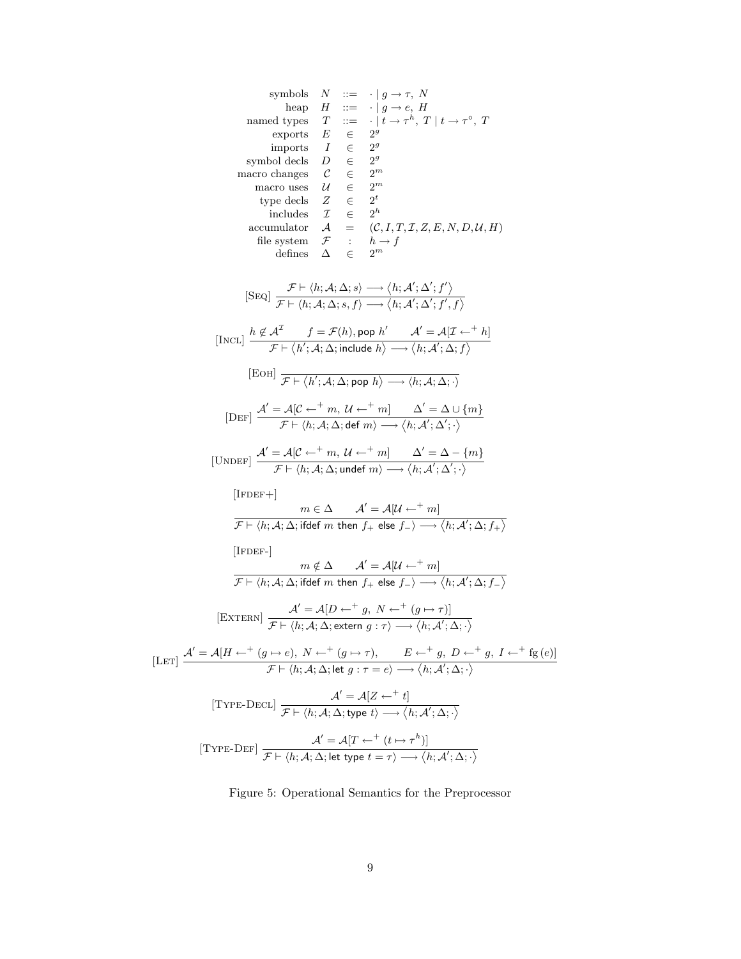symbols N ::= · | g → τ, N heap H ::= · | g → e, H named types T ::= · | t → τ h , T | t → τ ◦ , T exports E ∈ 2 g imports I ∈ 2 g symbol decls D ∈ 2 g macro changes C ∈ 2 m macro uses U ∈ 2 m type decls Z ∈ 2 t includes I ∈ 2 h accumulator A = (C, I, T, I, Z, E, N, D, U, H) file system F : h → f defines ∆ ∈ 2 m

$$
[\text{Seq}] \frac{\mathcal{F} \vdash \langle h; \mathcal{A}; \Delta; s \rangle \longrightarrow \langle h; \mathcal{A}'; \Delta'; f' \rangle}{\mathcal{F} \vdash \langle h; \mathcal{A}; \Delta; s, f \rangle \longrightarrow \langle h; \mathcal{A}'; \Delta'; f', f \rangle}
$$
\n
$$
[\text{NCL}] \frac{h \notin \mathcal{A}^{\mathcal{I}} \qquad f = \mathcal{F}(h), \text{pop } h' \qquad \mathcal{A}' = \mathcal{A}[\mathcal{I} \leftarrow^+ h]}{\mathcal{F} \vdash \langle h'; \mathcal{A}; \Delta; \text{include } h \rangle \longrightarrow \langle h; \mathcal{A}'; \Delta; f \rangle}
$$
\n
$$
[\text{Eor}] \frac{\mathcal{A}' = \mathcal{A}[\mathcal{C} \leftarrow^+ m, \mathcal{U} \leftarrow^+ m]}{\mathcal{F} \vdash \langle h'; \mathcal{A}; \Delta; \text{pop } h \rangle \longrightarrow \langle h; \mathcal{A}; \Delta; \cdot \rangle}
$$
\n
$$
[\text{DEF}] \frac{\mathcal{A}' = \mathcal{A}[\mathcal{C} \leftarrow^+ m, \mathcal{U} \leftarrow^+ m]}{\mathcal{F} \vdash \langle h; \mathcal{A}; \Delta; \text{def } m \rangle \longrightarrow \langle h; \mathcal{A}'; \Delta'; \cdot \rangle}
$$

$$
[\text{UNDEF}] \frac{\mathcal{A}' = \mathcal{A}[\mathcal{C} \leftarrow^+ m, \, \mathcal{U} \leftarrow^+ m]}{\mathcal{F} \vdash \langle h; \mathcal{A}; \Delta; \text{undefined } m \rangle \longrightarrow \langle h; \mathcal{A}'; \Delta'; \cdot \rangle}
$$

 $[\mbox{IFDEF}+]$ 

$$
m \in \Delta \qquad \mathcal{A}' = \mathcal{A}[\mathcal{U} \leftarrow^+ m]
$$
\n
$$
\mathcal{F} \vdash \langle h; \mathcal{A}; \Delta; \text{ifdef } m \text{ then } f_+ \text{ else } f_- \rangle \longrightarrow \langle h; \mathcal{A}'; \Delta; f_+ \rangle
$$
\n[IFDEF-]  
\n
$$
m \notin \Delta \qquad \mathcal{A}' = \mathcal{A}[\mathcal{U} \leftarrow^+ m]
$$
\n
$$
\mathcal{F} \vdash \langle h; \mathcal{A}; \Delta; \text{ifdef } m \text{ then } f_+ \text{ else } f_- \rangle \longrightarrow \langle h; \mathcal{A}'; \Delta; f_- \rangle
$$

$$
\text{[EXTern]} \ \frac{\mathcal{A}' = \mathcal{A}[D \leftarrow^+ g, \ N \leftarrow^+ (g \mapsto \tau)]}{\mathcal{F} \vdash \langle h; \mathcal{A}; \Delta; \text{extern } g : \tau \rangle \longrightarrow \langle h; \mathcal{A}'; \Delta; \cdot \rangle}
$$

$$
\text{[LET]} \frac{\mathcal{A}' = \mathcal{A}[H \leftarrow^+ (g \mapsto e), N \leftarrow^+ (g \mapsto \tau), \qquad E \leftarrow^+ g, D \leftarrow^+ g, I \leftarrow^+ \text{fg}(e)]}{\mathcal{F} \vdash \langle h; \mathcal{A}; \Delta; \text{let } g : \tau = e \rangle \longrightarrow \langle h; \mathcal{A}'; \Delta; \cdot \rangle}
$$

$$
[\text{Type-DECL}] \frac{\mathcal{A}^{\prime} = \mathcal{A}[Z \leftarrow^{+} t]}{\mathcal{F} \vdash \langle h; \mathcal{A}; \Delta; \text{type } t \rangle \longrightarrow \langle h; \mathcal{A}^{\prime}; \Delta; \cdot \rangle}
$$

$$
[\text{Type-DEF}] \; \frac{\mathcal{A}' = \mathcal{A}[T \leftarrow^+ (t \mapsto \tau^h)]}{\mathcal{F} \vdash \langle h; \mathcal{A}; \Delta; \text{let type } t = \tau \rangle \longrightarrow \langle h; \mathcal{A}'; \Delta; \cdot \rangle}
$$

# Figure 5: Operational Semantics for the Preprocessor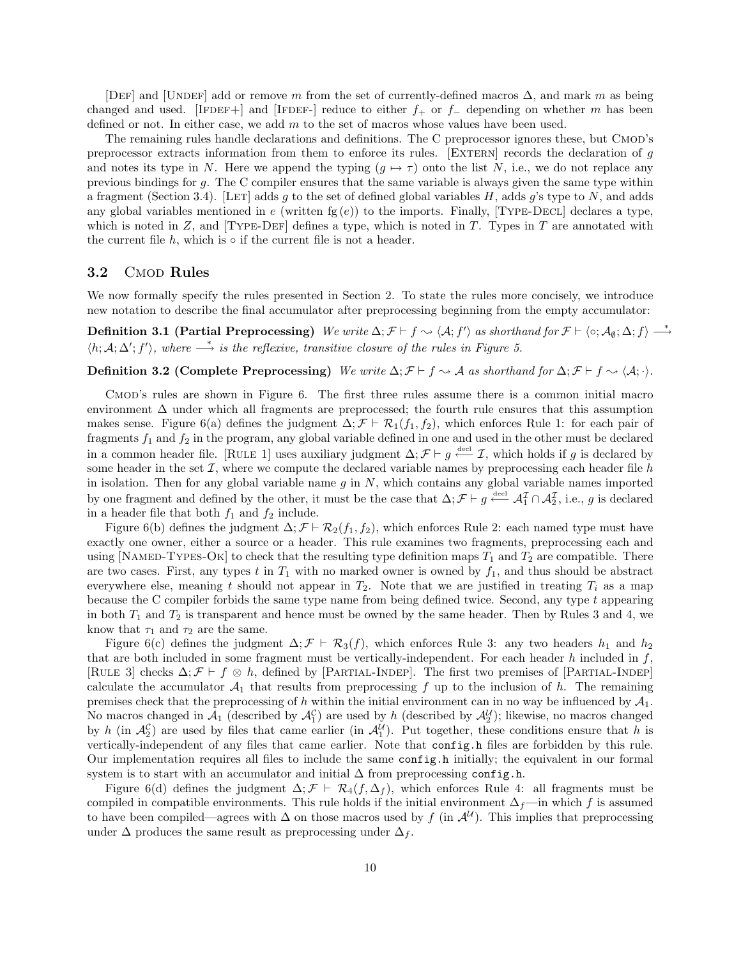[DEF] and [UNDEF] add or remove m from the set of currently-defined macros  $\Delta$ , and mark m as being changed and used. [IFDEF+] and [IFDEF-] reduce to either  $f_+$  or  $f_-$  depending on whether m has been defined or not. In either case, we add  $m$  to the set of macros whose values have been used.

The remaining rules handle declarations and definitions. The C preprocessor ignores these, but CMOD's preprocessor extracts information from them to enforce its rules. [Extern] records the declaration of g and notes its type in N. Here we append the typing  $(g \mapsto \tau)$  onto the list N, i.e., we do not replace any previous bindings for g. The C compiler ensures that the same variable is always given the same type within a fragment (Section 3.4). [Let] adds q to the set of defined global variables H, adds q's type to N, and adds any global variables mentioned in e (written  $fg (e)$ ) to the imports. Finally, [TYPE-DECL] declares a type, which is noted in  $Z$ , and  $[TYPE-DEF]$  defines a type, which is noted in  $T$ . Types in  $T$  are annotated with the current file  $h$ , which is  $\circ$  if the current file is not a header.

### 3.2 CMOD Rules

We now formally specify the rules presented in Section 2. To state the rules more concisely, we introduce new notation to describe the final accumulator after preprocessing beginning from the empty accumulator:

Definition 3.1 (Partial Preprocessing) We write  $\Delta; \mathcal{F} \vdash f \rightsquigarrow \langle \mathcal{A}; f' \rangle$  as shorthand for  $\mathcal{F} \vdash \langle \circ, \mathcal{A}_{\emptyset}; \Delta; f \rangle \stackrel{*}{\longrightarrow}$  $\langle h; \mathcal{A}; \Delta'; f' \rangle$ , where  $\stackrel{*}{\longrightarrow}$  is the reflexive, transitive closure of the rules in Figure 5.

### Definition 3.2 (Complete Preprocessing) We write  $\Delta; \mathcal{F} \vdash f \leadsto \mathcal{A}$  as shorthand for  $\Delta; \mathcal{F} \vdash f \leadsto \langle \mathcal{A}; \cdot \rangle$ .

Cmod's rules are shown in Figure 6. The first three rules assume there is a common initial macro environment ∆ under which all fragments are preprocessed; the fourth rule ensures that this assumption makes sense. Figure 6(a) defines the judgment  $\Delta; \mathcal{F} \vdash \mathcal{R}_1(f_1, f_2)$ , which enforces Rule 1: for each pair of fragments  $f_1$  and  $f_2$  in the program, any global variable defined in one and used in the other must be declared in a common header file. [RULE 1] uses auxiliary judgment  $\Delta; \mathcal{F} \vdash g \stackrel{\text{decl}}{\longleftarrow} \mathcal{I}$ , which holds if g is declared by some header in the set  $\mathcal{I}$ , where we compute the declared variable names by preprocessing each header file h in isolation. Then for any global variable name  $g$  in  $N$ , which contains any global variable names imported by one fragment and defined by the other, it must be the case that  $\Delta; \mathcal{F} \vdash g \stackrel{\text{decl}}{\longleftarrow} \mathcal{A}_1^{\mathcal{I}} \cap \mathcal{A}_2^{\mathcal{I}}$ , i.e., g is declared in a header file that both  $f_1$  and  $f_2$  include.

Figure 6(b) defines the judgment  $\Delta; \mathcal{F} \vdash \mathcal{R}_2(f_1, f_2)$ , which enforces Rule 2: each named type must have exactly one owner, either a source or a header. This rule examines two fragments, preprocessing each and using [NAMED-TYPES-OK] to check that the resulting type definition maps  $T_1$  and  $T_2$  are compatible. There are two cases. First, any types t in  $T_1$  with no marked owner is owned by  $f_1$ , and thus should be abstract everywhere else, meaning t should not appear in  $T_2$ . Note that we are justified in treating  $T_i$  as a map because the C compiler forbids the same type name from being defined twice. Second, any type t appearing in both  $T_1$  and  $T_2$  is transparent and hence must be owned by the same header. Then by Rules 3 and 4, we know that  $\tau_1$  and  $\tau_2$  are the same.

Figure 6(c) defines the judgment  $\Delta; \mathcal{F} \vdash \mathcal{R}_3(f)$ , which enforces Rule 3: any two headers  $h_1$  and  $h_2$ that are both included in some fragment must be vertically-independent. For each header h included in  $f$ , [RULE 3] checks  $\Delta; \mathcal{F} \vdash f \otimes h$ , defined by [PARTIAL-INDEP]. The first two premises of [PARTIAL-INDEP] calculate the accumulator  $\mathcal{A}_1$  that results from preprocessing f up to the inclusion of h. The remaining premises check that the preprocessing of h within the initial environment can in no way be influenced by  $\mathcal{A}_1$ . No macros changed in  $A_1$  (described by  $A_1^C$ ) are used by h (described by  $A_2^U$ ); likewise, no macros changed by h (in  $\mathcal{A}_2^C$ ) are used by files that came earlier (in  $\mathcal{A}_1^U$ ). Put together, these conditions ensure that h is vertically-independent of any files that came earlier. Note that config.h files are forbidden by this rule. Our implementation requires all files to include the same config.h initially; the equivalent in our formal system is to start with an accumulator and initial  $\Delta$  from preprocessing config.h.

Figure 6(d) defines the judgment  $\Delta; \mathcal{F} \vdash \mathcal{R}_4(f, \Delta_f)$ , which enforces Rule 4: all fragments must be compiled in compatible environments. This rule holds if the initial environment  $\Delta_f$ —in which f is assumed to have been compiled—agrees with  $\Delta$  on those macros used by f (in  $\mathcal{A}^{U}$ ). This implies that preprocessing under  $\Delta$  produces the same result as preprocessing under  $\Delta_f$ .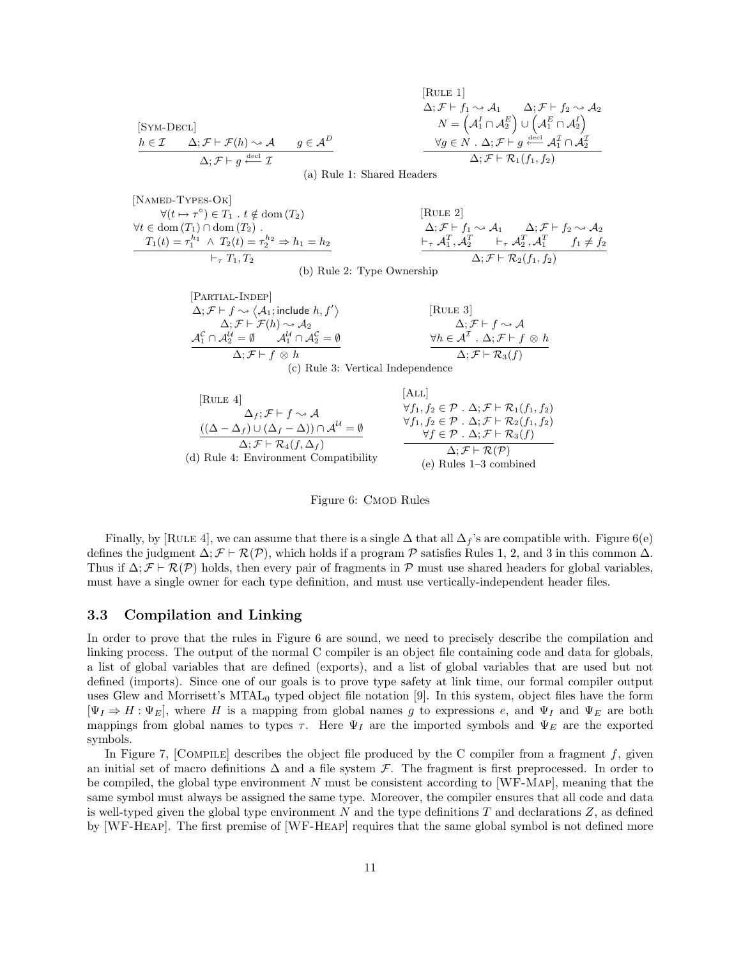$$
\begin{array}{ll}\n\text{[RULE 1]}\\
\Delta; \mathcal{F} \vdash f_1 \sim \mathcal{A}_1 \qquad \Delta; \mathcal{F} \vdash f_2 \sim \mathcal{A}_2\\
N = \left(\mathcal{A}_1^I \cap \mathcal{A}_2^E\right) \cup \left(\mathcal{A}_1^E \cap \mathcal{A}_2^I\right)\\
\frac{h \in \mathcal{I} \qquad \Delta; \mathcal{F} \vdash \mathcal{F}(h) \sim \mathcal{A} \qquad g \in \mathcal{A}^D}{\Delta; \mathcal{F} \vdash g \stackrel{\text{det} \Box}{\longleftarrow} \mathcal{I}}\\
\frac{\forall g \in N \, \, . \, \, \Delta; \mathcal{F} \vdash g \stackrel{\text{det} \Box}{\longleftarrow} \mathcal{A}_1^T \cap \mathcal{A}_2^T}{\Delta; \mathcal{F} \vdash \mathcal{R}_1(f_1, f_2)}\n\end{array}
$$

(a) Rule 1: Shared Headers

[NAMED-TYPES-OK]  
\n
$$
\forall (t \mapsto \tau^{\circ}) \in T_1 \quad t \notin \text{dom}(T_2)
$$
\n
$$
\forall t \in \text{dom}(T_1) \cap \text{dom}(T_2) .
$$
\n
$$
\begin{array}{ccc}\nT_1(t) = \tau_1^{h_1} \land T_2(t) = \tau_2^{h_2} \Rightarrow h_1 = h_2 \\
\downarrow & \downarrow & \downarrow \\
\downarrow & \tau \cdot T_1, T_2\n\end{array}
$$
\n[Rule 2]  
\n
$$
\begin{array}{ccc}\n\text{[Rule 2]} \\
\Delta; \mathcal{F} \vdash f_1 \leadsto \mathcal{A}_1 & \Delta; \mathcal{F} \vdash f_2 \leadsto \mathcal{A}_2 \\
\downarrow & \downarrow & \downarrow \\
\Delta; \mathcal{F} \vdash \mathcal{R}_2(f_1, f_2)\n\end{array}
$$

(b) Rule 2: Type Ownership

[PARTIAL-INDER]  
\n
$$
\Delta; \mathcal{F} \vdash f \leadsto \langle \mathcal{A}_1; \text{include } h, f' \rangle \qquad \qquad [\text{RULE 3}]
$$
\n
$$
\Delta; \mathcal{F} \vdash \mathcal{F}(h) \leadsto \mathcal{A}_2 \qquad \qquad \Delta; \mathcal{F} \vdash f \leadsto \mathcal{A}
$$
\n
$$
\mathcal{A}_1^c \cap \mathcal{A}_2^d = \emptyset \qquad \mathcal{A}_1^d \cap \mathcal{A}_2^c = \emptyset \qquad \qquad \forall h \in \mathcal{A}^{\mathcal{I}} \cdot \Delta; \mathcal{F} \vdash f \otimes h
$$
\n
$$
\Delta; \mathcal{F} \vdash f \otimes h \qquad \qquad \Delta; \mathcal{F} \vdash \mathcal{R}_3(f)
$$

(c) Rule 3: Vertical Independence

| [Rule 4]                                                                        | [ALL]                                                                                       |
|---------------------------------------------------------------------------------|---------------------------------------------------------------------------------------------|
| $\Delta_f; \mathcal{F} \vdash f \sim \mathcal{A}$                               | $\forall f_1, f_2 \in \mathcal{P} \cdot \Delta; \mathcal{F} \vdash \mathcal{R}_1(f_1, f_2)$ |
| $((\Delta - \Delta_f) \cup (\Delta_f - \Delta)) \cap \mathcal{A}^U = \emptyset$ | $\forall f_1, f_2 \in \mathcal{P} \cdot \Delta; \mathcal{F} \vdash \mathcal{R}_2(f_1, f_2)$ |
| $\Delta; \mathcal{F} \vdash \mathcal{R}_4(f, \Delta_f)$                         | $\forall f \in \mathcal{P} \cdot \Delta; \mathcal{F} \vdash \mathcal{R}_3(f)$               |
| (d) Rule 4: Environment Compatibility                                           | (e) Rules 1–3 combined                                                                      |

Figure 6: CMOD Rules

Finally, by [RULE 4], we can assume that there is a single  $\Delta$  that all  $\Delta_f$ 's are compatible with. Figure 6(e) defines the judgment  $\Delta; \mathcal{F} \vdash \mathcal{R}(\mathcal{P})$ , which holds if a program  $\mathcal{P}$  satisfies Rules 1, 2, and 3 in this common  $\Delta$ . Thus if  $\Delta$ ;  $\mathcal{F} \vdash \mathcal{R}(\mathcal{P})$  holds, then every pair of fragments in P must use shared headers for global variables, must have a single owner for each type definition, and must use vertically-independent header files.

#### 3.3 Compilation and Linking

In order to prove that the rules in Figure 6 are sound, we need to precisely describe the compilation and linking process. The output of the normal C compiler is an object file containing code and data for globals, a list of global variables that are defined (exports), and a list of global variables that are used but not defined (imports). Since one of our goals is to prove type safety at link time, our formal compiler output uses Glew and Morrisett's MTAL<sub>0</sub> typed object file notation [9]. In this system, object files have the form  $[\Psi_I \Rightarrow H : \Psi_E],$  where H is a mapping from global names g to expressions e, and  $\Psi_I$  and  $\Psi_E$  are both mappings from global names to types  $\tau$ . Here  $\Psi_I$  are the imported symbols and  $\Psi_E$  are the exported symbols.

In Figure 7,  $[COMPILE]$  describes the object file produced by the C compiler from a fragment  $f$ , given an initial set of macro definitions  $\Delta$  and a file system F. The fragment is first preprocessed. In order to be compiled, the global type environment N must be consistent according to [WF-MAP], meaning that the same symbol must always be assigned the same type. Moreover, the compiler ensures that all code and data is well-typed given the global type environment  $N$  and the type definitions  $T$  and declarations  $Z$ , as defined by [WF-Heap]. The first premise of [WF-Heap] requires that the same global symbol is not defined more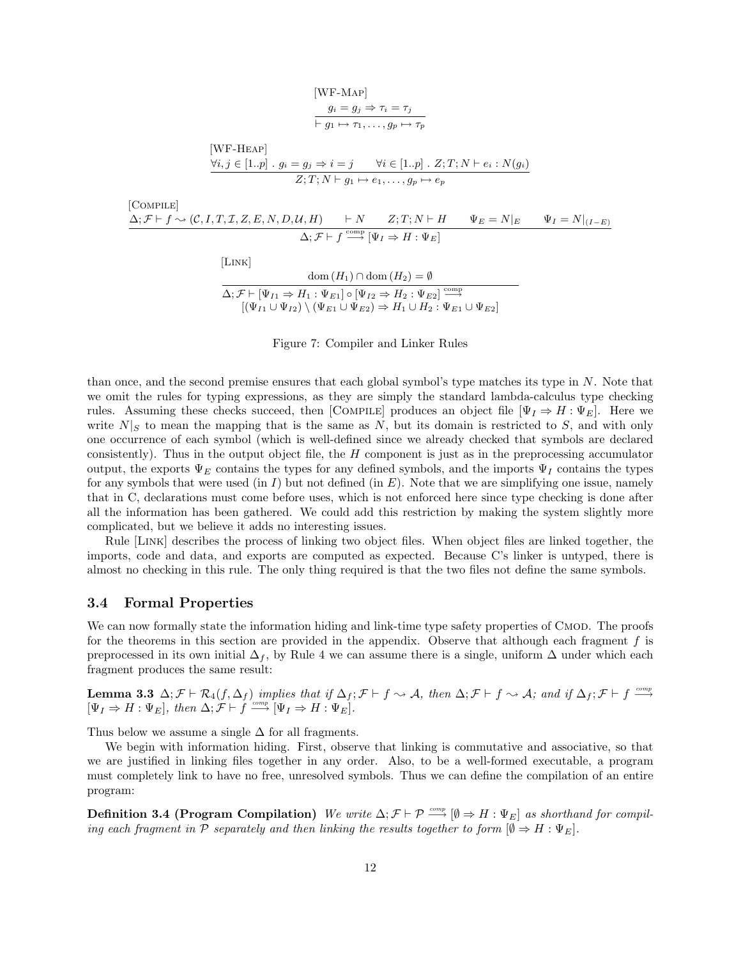[WF-MAP]  
\n
$$
\frac{g_i = g_j \Rightarrow \tau_i = \tau_j}{\vdash g_1 \mapsto \tau_1, \dots, g_p \mapsto \tau_p}
$$
\n[WF-HEAP]  
\n
$$
\frac{\forall i, j \in [1..p] \cdot g_i = g_j \Rightarrow i = j \qquad \forall i \in [1..p] \cdot Z; T; N \vdash e_i : N(g_i)}{Z; T; N \vdash g_1 \mapsto e_1, \dots, g_p \mapsto e_p}
$$

[Compile]

 $\Delta; \mathcal{F} \vdash f \rightsquigarrow (\mathcal{C}, I, T, \mathcal{I}, Z, E, N, D, \mathcal{U}, H) \quad \vdash N \quad \quad Z; T; N \vdash H \quad \quad \Psi_E = N|_E \quad \quad \Psi_I = N|_{(I-E)}$  $\Delta; \mathcal{F} \vdash f \stackrel{\text{comp}}{\longrightarrow} [\Psi_I \Rightarrow H : \Psi_E]$ 

[Link]

$$
\frac{\text{dom}(H_1) \cap \text{dom}(H_2) = \emptyset}{\Delta; \mathcal{F} \vdash [\Psi_{I1} \Rightarrow H_1 : \Psi_{E1}] \circ [\Psi_{I2} \Rightarrow H_2 : \Psi_{E2}] \stackrel{\text{comp}}{\longrightarrow}} \frac{\left[ (\Psi_{I1} \cup \Psi_{I2}) \setminus (\Psi_{E1} \cup \Psi_{E2}) \Rightarrow H_1 \cup H_2 : \Psi_{E1} \cup \Psi_{E2} \right]}
$$

Figure 7: Compiler and Linker Rules

than once, and the second premise ensures that each global symbol's type matches its type in N. Note that we omit the rules for typing expressions, as they are simply the standard lambda-calculus type checking rules. Assuming these checks succeed, then [COMPILE] produces an object file  $[\Psi_I \Rightarrow H : \Psi_E]$ . Here we write  $N|<sub>S</sub>$  to mean the mapping that is the same as N, but its domain is restricted to S, and with only one occurrence of each symbol (which is well-defined since we already checked that symbols are declared consistently). Thus in the output object file, the  $H$  component is just as in the preprocessing accumulator output, the exports  $\Psi_E$  contains the types for any defined symbols, and the imports  $\Psi_I$  contains the types for any symbols that were used (in  $I$ ) but not defined (in  $E$ ). Note that we are simplifying one issue, namely that in C, declarations must come before uses, which is not enforced here since type checking is done after all the information has been gathered. We could add this restriction by making the system slightly more complicated, but we believe it adds no interesting issues.

Rule [Link] describes the process of linking two object files. When object files are linked together, the imports, code and data, and exports are computed as expected. Because C's linker is untyped, there is almost no checking in this rule. The only thing required is that the two files not define the same symbols.

#### 3.4 Formal Properties

We can now formally state the information hiding and link-time type safety properties of CMOD. The proofs for the theorems in this section are provided in the appendix. Observe that although each fragment  $f$  is preprocessed in its own initial  $\Delta_f$ , by Rule 4 we can assume there is a single, uniform  $\Delta$  under which each fragment produces the same result:

**Lemma 3.3**  $\Delta; \mathcal{F} \vdash \mathcal{R}_4(f, \Delta_f)$  implies that if  $\Delta_f; \mathcal{F} \vdash f \sim \mathcal{A}$ , then  $\Delta; \mathcal{F} \vdash f \sim \mathcal{A}$ ; and if  $\Delta_f; \mathcal{F} \vdash f \stackrel{comp}{\longrightarrow}$  $[\Psi_I \Rightarrow H : \Psi_E], \text{ then } \Delta; \mathcal{F} \vdash f \stackrel{comp}{\longrightarrow} [\Psi_I \Rightarrow H : \Psi_E].$ 

Thus below we assume a single  $\Delta$  for all fragments.

We begin with information hiding. First, observe that linking is commutative and associative, so that we are justified in linking files together in any order. Also, to be a well-formed executable, a program must completely link to have no free, unresolved symbols. Thus we can define the compilation of an entire program:

**Definition 3.4 (Program Compilation)** We write  $\Delta; \mathcal{F} \vdash \mathcal{P} \stackrel{comp}{\longrightarrow} [\emptyset \Rightarrow H : \Psi_E]$  as shorthand for compiling each fragment in P separately and then linking the results together to form  $[\emptyset \Rightarrow H : \Psi_E]$ .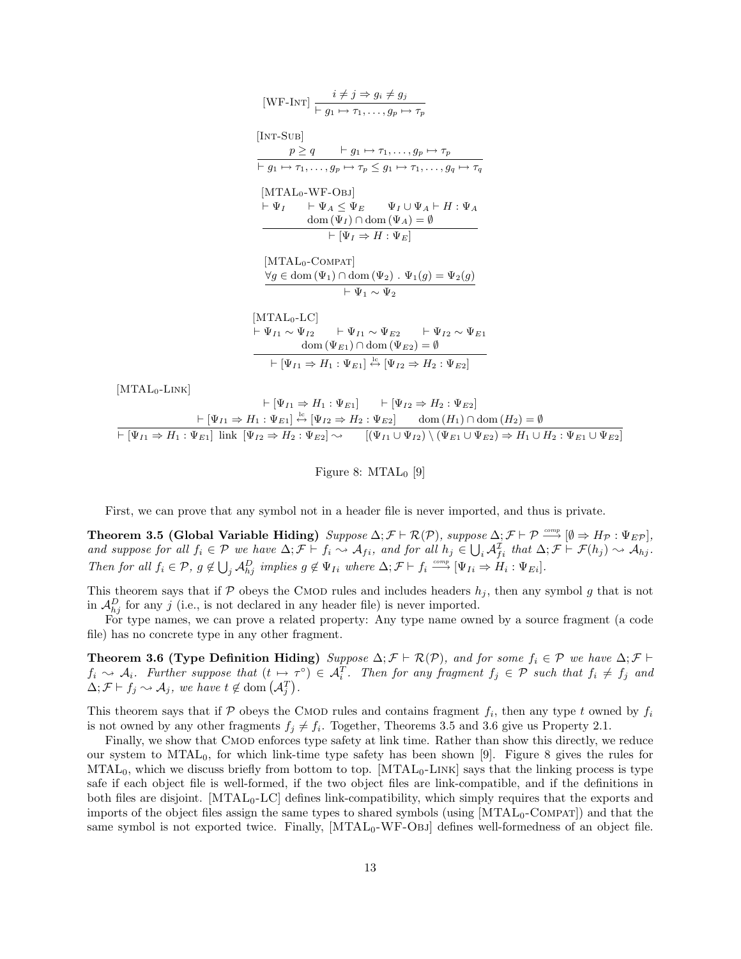$$
[WF-INT] \frac{i \neq j \Rightarrow g_i \neq g_j}{\mid g_1 \mapsto \tau_1, \dots, g_p \mapsto \tau_p}
$$
  
\n
$$
[INT-SUB]
$$
  
\n
$$
\frac{p \geq q \qquad \vdash g_1 \mapsto \tau_1, \dots, g_p \mapsto \tau_p}{\mid g_1 \mapsto \tau_1, \dots, g_p \mapsto \tau_p \leq g_1 \mapsto \tau_1, \dots, g_q \mapsto \tau_q}
$$
  
\n
$$
[MTAL_0-WF-OBJ]
$$
  
\n
$$
\vdash \Psi_I \qquad \vdash \Psi_A \leq \Psi_E \qquad \Psi_I \cup \Psi_A \vdash H : \Psi_A
$$
  
\n
$$
\frac{\text{dom}(\Psi_I) \cap \text{dom}(\Psi_A) = \emptyset}{\mid \Psi_I \Rightarrow H : \Psi_E \mid}
$$
  
\n
$$
[MTAL_0-COMPAT]
$$
  
\n
$$
\frac{\forall g \in \text{dom}(\Psi_1) \cap \text{dom}(\Psi_2) \quad \Psi_1(g) = \Psi_2(g)}{\mid \vdash \Psi_1 \sim \Psi_2 \mid}
$$
  
\n
$$
[MTAL_0-LC]
$$
  
\n
$$
\vdash \Psi_{I1} \sim \Psi_{I2} \qquad \vdash \Psi_{I1} \sim \Psi_{E2} \qquad \vdash \Psi_{I2} \sim \Psi_{E1}
$$
  
\n
$$
\frac{\text{dom}(\Psi_{E1}) \cap \text{dom}(\Psi_{E2}) = \emptyset}{\mid \vdash [\Psi_{I2} \Rightarrow H_2 : \Psi_{E2}]}
$$

 $[MTAL_0-LINK]$ 

$$
\vdash [\Psi_{I1} \Rightarrow H_1 : \Psi_{E1}] \qquad \vdash [\Psi_{I2} \Rightarrow H_2 : \Psi_{E2}] \n\vdash [\Psi_{I1} \Rightarrow H_1 : \Psi_{E1}] \stackrel{\text{lc}}{\leftrightarrow} [\Psi_{I2} \Rightarrow H_2 : \Psi_{E2}] \qquad \text{dom}(H_1) \cap \text{dom}(H_2) = \emptyset \n\vdash [\Psi_{I1} \Rightarrow H_1 : \Psi_{E1}] \text{ link } [\Psi_{I2} \Rightarrow H_2 : \Psi_{E2}] \sim\n\qquad [(\Psi_{I1} \cup \Psi_{I2}) \setminus (\Psi_{E1} \cup \Psi_{E2}) \Rightarrow H_1 \cup H_2 : \Psi_{E1} \cup \Psi_{E2}]
$$

Figure 8:  $MTAL<sub>0</sub>$  [9]

First, we can prove that any symbol not in a header file is never imported, and thus is private.

Theorem 3.5 (Global Variable Hiding) Suppose  $\Delta; \mathcal{F} \vdash \mathcal{R}(\mathcal{P})$ , suppose  $\Delta; \mathcal{F} \vdash \mathcal{P} \stackrel{comp}{\longrightarrow} [\emptyset \Rightarrow H_{\mathcal{P}} : \Psi_{EP}]$ , and suppose for all  $f_i \in \mathcal{P}$  we have  $\Delta; \mathcal{F} \vdash f_i \leadsto \mathcal{A}_{fi}$ , and for all  $h_j \in \bigcup_i \mathcal{A}_{fi}^{\mathcal{I}}$  that  $\Delta; \mathcal{F} \vdash \mathcal{F}(h_j) \leadsto \mathcal{A}_{hj}$ . Then for all  $f_i \in \mathcal{P}, g \notin \bigcup_j \mathcal{A}_{h_j}^D$  implies  $g \notin \Psi_{I_i}$  where  $\Delta; \mathcal{F} \vdash f_i \stackrel{comp}{\longrightarrow} [\Psi_{I_i} \Rightarrow H_i : \Psi_{E_i}].$ 

This theorem says that if  $P$  obeys the CMOD rules and includes headers  $h_j$ , then any symbol g that is not in  $\mathcal{A}_{hj}^D$  for any j (i.e., is not declared in any header file) is never imported.

For type names, we can prove a related property: Any type name owned by a source fragment (a code file) has no concrete type in any other fragment.

Theorem 3.6 (Type Definition Hiding) Suppose  $\Delta; \mathcal{F} \vdash \mathcal{R}(\mathcal{P})$ , and for some  $f_i \in \mathcal{P}$  we have  $\Delta; \mathcal{F} \vdash$  $f_i \rightsquigarrow A_i$ . Further suppose that  $(t \mapsto \tau^{\circ}) \in A_i^T$ . Then for any fragment  $f_j \in \mathcal{P}$  such that  $f_i \neq f_j$  and  $\Delta; \mathcal{F} \vdash f_j \sim \mathcal{A}_j$ , we have  $t \notin \text{dom}(\mathcal{A}_j^T)$ .

This theorem says that if  $P$  obeys the CMOD rules and contains fragment  $f_i$ , then any type t owned by  $f_i$ is not owned by any other fragments  $f_j \neq f_i$ . Together, Theorems 3.5 and 3.6 give us Property 2.1.

Finally, we show that CMOD enforces type safety at link time. Rather than show this directly, we reduce our system to MTAL0, for which link-time type safety has been shown [9]. Figure 8 gives the rules for  $MTAL<sub>0</sub>$ , which we discuss briefly from bottom to top.  $[MTAL<sub>0</sub>-LINK]$  says that the linking process is type safe if each object file is well-formed, if the two object files are link-compatible, and if the definitions in both files are disjoint. [MTAL0-LC] defines link-compatibility, which simply requires that the exports and imports of the object files assign the same types to shared symbols (using [MTAL0-Compat]) and that the same symbol is not exported twice. Finally,  $[MTAL_0-WF-OBJ]$  defines well-formedness of an object file.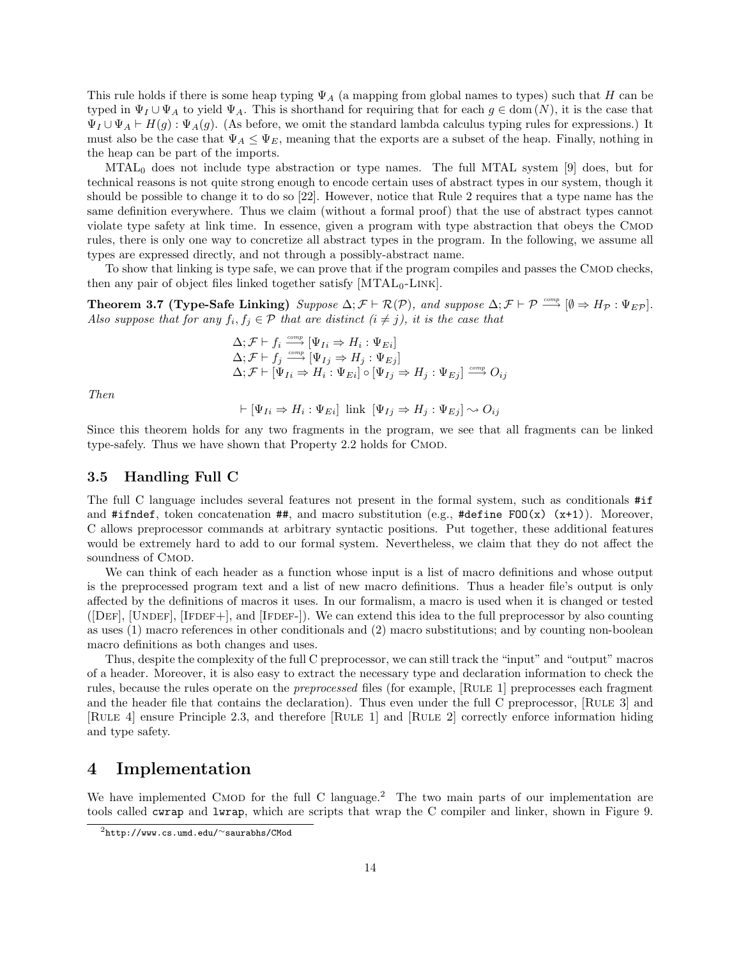This rule holds if there is some heap typing  $\Psi_A$  (a mapping from global names to types) such that H can be typed in  $\Psi_I \cup \Psi_A$  to yield  $\Psi_A$ . This is shorthand for requiring that for each  $g \in \text{dom}(N)$ , it is the case that  $\Psi_I \cup \Psi_A \vdash H(g) : \Psi_A(g)$ . (As before, we omit the standard lambda calculus typing rules for expressions.) It must also be the case that  $\Psi_A \leq \Psi_E$ , meaning that the exports are a subset of the heap. Finally, nothing in the heap can be part of the imports.

 $MTAL<sub>0</sub>$  does not include type abstraction or type names. The full MTAL system [9] does, but for technical reasons is not quite strong enough to encode certain uses of abstract types in our system, though it should be possible to change it to do so [22]. However, notice that Rule 2 requires that a type name has the same definition everywhere. Thus we claim (without a formal proof) that the use of abstract types cannot violate type safety at link time. In essence, given a program with type abstraction that obeys the Cmod rules, there is only one way to concretize all abstract types in the program. In the following, we assume all types are expressed directly, and not through a possibly-abstract name.

To show that linking is type safe, we can prove that if the program compiles and passes the Cmod checks, then any pair of object files linked together satisfy  $[MTAL_0-LINK]$ .

Theorem 3.7 (Type-Safe Linking) Suppose  $\Delta; \mathcal{F} \vdash \mathcal{R}(\mathcal{P})$ , and suppose  $\Delta; \mathcal{F} \vdash \mathcal{P} \stackrel{comp}{\longrightarrow} [\emptyset \Rightarrow H_{\mathcal{P}} : \Psi_{EP}]$ . Also suppose that for any  $f_i, f_j \in \mathcal{P}$  that are distinct  $(i \neq j)$ , it is the case that

$$
\Delta; \mathcal{F} \vdash f_i \xrightarrow{comp} [\Psi_{Ii} \Rightarrow H_i : \Psi_{Ei}]
$$
  
\n
$$
\Delta; \mathcal{F} \vdash f_j \xrightarrow{comp} [\Psi_{Ij} \Rightarrow H_j : \Psi_{Ej}]
$$
  
\n
$$
\Delta; \mathcal{F} \vdash [\Psi_{Ii} \Rightarrow H_i : \Psi_{Ei}] \circ [\Psi_{Ij} \Rightarrow H_j : \Psi_{Ej}] \xrightarrow{comp} O_{ij}
$$

Then

$$
\vdash [\Psi_{Ii} \Rightarrow H_i : \Psi_{Ei}] \text{ link } [\Psi_{Ij} \Rightarrow H_j : \Psi_{Ej}] \sim O_{ij}
$$

Since this theorem holds for any two fragments in the program, we see that all fragments can be linked type-safely. Thus we have shown that Property 2.2 holds for CMOD.

#### 3.5 Handling Full C

The full C language includes several features not present in the formal system, such as conditionals #if and #ifndef, token concatenation ##, and macro substitution (e.g., #define FOO(x)  $(x+1)$ ). Moreover, C allows preprocessor commands at arbitrary syntactic positions. Put together, these additional features would be extremely hard to add to our formal system. Nevertheless, we claim that they do not affect the soundness of CMOD.

We can think of each header as a function whose input is a list of macro definitions and whose output is the preprocessed program text and a list of new macro definitions. Thus a header file's output is only affected by the definitions of macros it uses. In our formalism, a macro is used when it is changed or tested  $([DEF], [UNDEF], [IFDEF], and [IFDEF-]).$  We can extend this idea to the full preprocessor by also counting as uses (1) macro references in other conditionals and (2) macro substitutions; and by counting non-boolean macro definitions as both changes and uses.

Thus, despite the complexity of the full C preprocessor, we can still track the "input" and "output" macros of a header. Moreover, it is also easy to extract the necessary type and declaration information to check the rules, because the rules operate on the preprocessed files (for example, [Rule 1] preprocesses each fragment and the header file that contains the declaration). Thus even under the full C preprocessor, [RULE 3] and [Rule 4] ensure Principle 2.3, and therefore [Rule 1] and [Rule 2] correctly enforce information hiding and type safety.

### 4 Implementation

We have implemented CMOD for the full C language.<sup>2</sup> The two main parts of our implementation are tools called cwrap and lwrap, which are scripts that wrap the C compiler and linker, shown in Figure 9.

<sup>2</sup>http://www.cs.umd.edu/∼saurabhs/CMod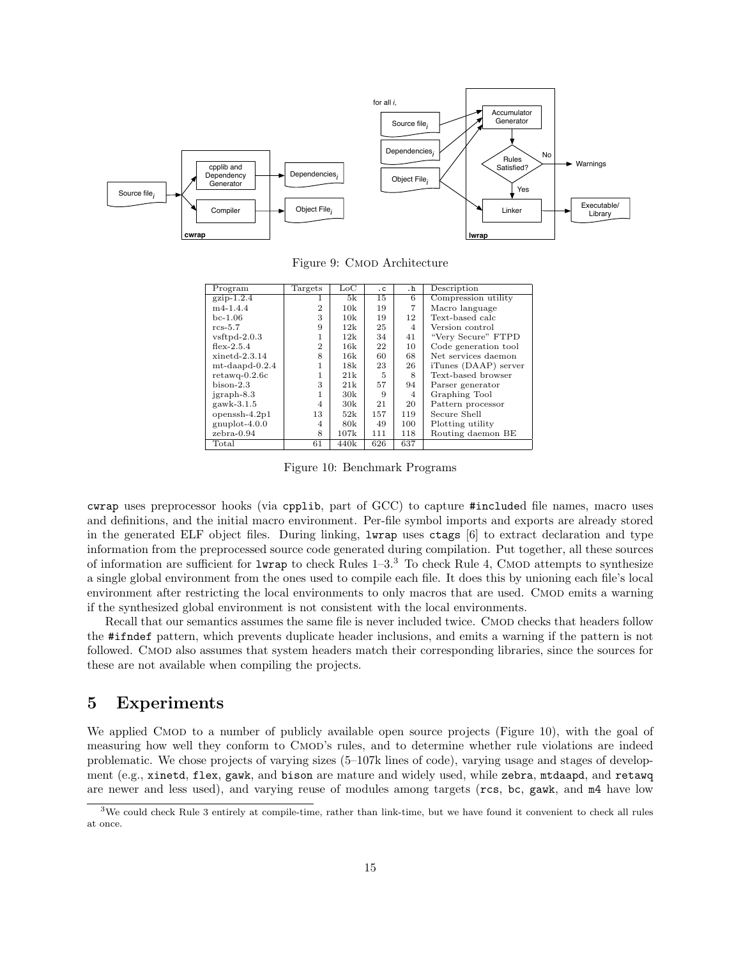

Figure 9: CMOD Architecture

| Program           | Targets        | $_{\rm LoC}$ | . c | $\cdot$ <sub>h</sub> | Description          |
|-------------------|----------------|--------------|-----|----------------------|----------------------|
| $gxip-1.2.4$      |                | 5k           | 15  | 6                    | Compression utility  |
| $m4-1.4.4$        | $\overline{2}$ | 10k          | 19  |                      | Macro language       |
| $bc-1.06$         | 3              | 10k          | 19  | 12                   | Text-based calc      |
| $rcs-5.7$         | 9              | 12k          | 25  | 4                    | Version control      |
| $v$ sftpd-2.0.3   |                | 12k          | 34  | 41                   | "Very Secure" FTPD   |
| $flex-2.5.4$      | $\overline{2}$ | 16k          | 22  | 10                   | Code generation tool |
| $xinetd-2.3.14$   | 8              | 16k          | 60  | 68                   | Net services daemon  |
| $mt$ -daapd-0.2.4 |                | 18k          | 23  | 26                   | iTunes (DAAP) server |
| $retawq-0.2.6c$   |                | 21k          | 5   | 8                    | Text-based browser   |
| $bison-2.3$       | 3              | 21k          | 57  | 94                   | Parser generator     |
| $igraph-8.3$      |                | 30k          | 9   | 4                    | Graphing Tool        |
| $gawk-3.1.5$      | $\overline{4}$ | 30k          | 21  | 20                   | Pattern processor    |
| openssh- $4.2p1$  | 13             | 52k          | 157 | 119                  | Secure Shell         |
| $gnuplot-4.0.0$   | $\overline{4}$ | 80k          | 49  | 100                  | Plotting utility     |
| $zebra-0.94$      | 8              | 107k         | 111 | 118                  | Routing daemon BE    |
| Total             | 61             | 440k         | 626 | 637                  |                      |

Figure 10: Benchmark Programs

cwrap uses preprocessor hooks (via cpplib, part of GCC) to capture #included file names, macro uses and definitions, and the initial macro environment. Per-file symbol imports and exports are already stored in the generated ELF object files. During linking, lwrap uses ctags [6] to extract declaration and type information from the preprocessed source code generated during compilation. Put together, all these sources of information are sufficient for lwrap to check Rules  $1-3.3$  To check Rule 4, CMOD attempts to synthesize a single global environment from the ones used to compile each file. It does this by unioning each file's local environment after restricting the local environments to only macros that are used. CMOD emits a warning if the synthesized global environment is not consistent with the local environments.

Recall that our semantics assumes the same file is never included twice. CMOD checks that headers follow the #ifndef pattern, which prevents duplicate header inclusions, and emits a warning if the pattern is not followed. Cmod also assumes that system headers match their corresponding libraries, since the sources for these are not available when compiling the projects.

### 5 Experiments

We applied CMOD to a number of publicly available open source projects (Figure 10), with the goal of measuring how well they conform to CMOD's rules, and to determine whether rule violations are indeed problematic. We chose projects of varying sizes (5–107k lines of code), varying usage and stages of development (e.g., xinetd, flex, gawk, and bison are mature and widely used, while zebra, mtdaapd, and retawq are newer and less used), and varying reuse of modules among targets (rcs, bc, gawk, and m4 have low

 $3$ We could check Rule 3 entirely at compile-time, rather than link-time, but we have found it convenient to check all rules at once.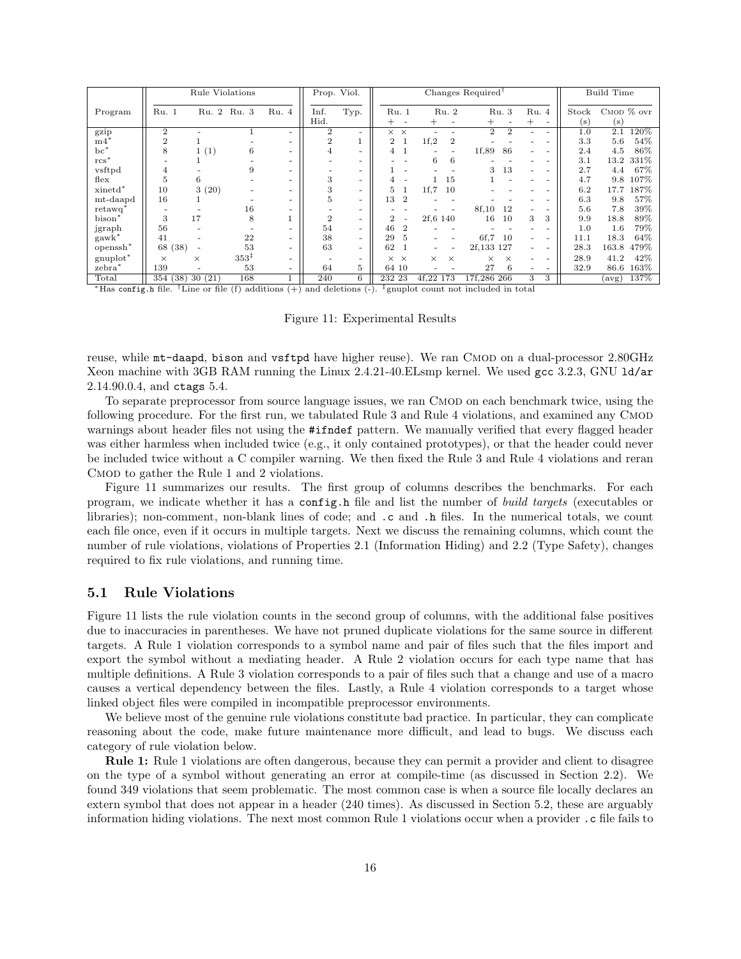|                     |                | Rule Violations |                  |       | Prop. Viol.    |      |                          |                        | Changes Required <sup>†</sup>    |                               |                         | <b>Build Time</b>   |
|---------------------|----------------|-----------------|------------------|-------|----------------|------|--------------------------|------------------------|----------------------------------|-------------------------------|-------------------------|---------------------|
| Program             | Ru. 1          | Ru. 2           | Ru. 3            | Ru. 4 | Inf.<br>Hid.   | Typ. | Ru. 1<br>$^+$            | Ru. 2                  | Ru. 3                            | Ru. 4<br>$^+$<br>۰            | Stock<br>$(\mathrm{s})$ | $CMOD %$ ovr<br>(s) |
| gzip                | $\overline{2}$ |                 |                  | -     | 2              | ۰    | $\times$ $\times$        |                        | $\overline{2}$<br>$\overline{2}$ | $\sim$                        | 1.0                     | 120%<br>2.1         |
| $m4*$               | $\overline{2}$ |                 |                  | -     | $\overline{2}$ |      | $\overline{2}$           | 1f,2<br>$\overline{2}$ |                                  |                               | 3.3                     | 54%<br>$5.6\,$      |
| $bc^*$              | 8              | 1(1)            | 6                | ۰     | 4              | -    | $\overline{4}$           | ۰                      | 1f.89<br>86                      | ٠<br>٠                        | 2.4                     | 86%<br>4.5          |
| $rcs^*$             |                |                 |                  | -     |                | -    |                          | 6<br>6                 |                                  |                               | 3.1                     | 331\%<br>13.2       |
| vsftpd              | 4              |                 |                  | -     |                | ۰    | $\overline{\phantom{a}}$ | -                      | 13<br>3                          | ۰<br>$\overline{\phantom{a}}$ | 2.7                     | 67%<br>4.4          |
| flex                | 5              | 6               |                  | -     | 3              | -    | 4                        | 15                     |                                  | ٠                             | 4.7                     | 107%<br>9.8         |
| xinetd <sup>*</sup> | 10             | 3(20)           |                  | -     | 3              | -    | 5                        | 1f,7<br>-10            |                                  |                               | 6.2                     | 17.7<br>187%        |
| mt-daapd            | 16             |                 |                  | -     | 5              | ۰    | 13<br>$\overline{2}$     |                        |                                  |                               | 6.3                     | 57%<br>9.8          |
| retawq              |                |                 | 16               |       |                |      |                          |                        | 8f,10<br>12                      |                               | 5.6                     | 7.8<br>39%          |
| bison <sup>*</sup>  | 3              | 17              | 8                |       | $\overline{2}$ | -    | 2                        | 2f.6 140               | 10<br>16                         | 3<br>3                        | 9.9                     | 89%<br>18.8         |
| jgraph              | 56             |                 |                  | -     | 54             | -    | 46<br>$\overline{2}$     |                        |                                  |                               | 1.0                     | 79%<br>1.6          |
| $gawk^*$            | 41             |                 | 22               |       | 38             | -    | 29<br>5                  |                        | 6f.7<br>10                       | ۰<br>٠                        | 11.1                    | 64%<br>18.3         |
| $openash^*$         | 68 (38)        | -               | 53               |       | 63             | ۰    | 62                       | ۰                      | 2f, 133 127                      | ۰<br>$\overline{\phantom{a}}$ | 28.3                    | 163.8<br>479%       |
| $gnuplot*$          | $\times$       | $\times$        | $353^{\ddagger}$ |       |                |      | X X                      | $\times$<br>$\times$   | $\times$<br>$\times$             | ۰                             | 28.9                    | 42%<br>41.2         |
| $zebra*$            | 139            |                 | 53               | -     | 64             | 5    | 64 10                    |                        | 27<br>6                          | ٠<br>$\overline{\phantom{a}}$ | 32.9                    | $163\%$<br>86.6     |
| Total               |                | 354(38)30(21)   | 168              |       | 240            | 6    | 232 23                   | 4f, 22 173             | 17f,286 266                      | 3<br>3                        |                         | 137%<br>(avg)       |

\*Has config.h file. <sup>†</sup>Line or file (f) additions (+) and deletions (-). <sup>‡</sup>gnuplot count not included in total

Figure 11: Experimental Results

reuse, while  $m$ t-daapd, bison and vsftpd have higher reuse). We ran CMOD on a dual-processor 2.80GHz Xeon machine with 3GB RAM running the Linux 2.4.21-40.ELsmp kernel. We used gcc 3.2.3, GNU ld/ar 2.14.90.0.4, and ctags 5.4.

To separate preprocessor from source language issues, we ran CMOD on each benchmark twice, using the following procedure. For the first run, we tabulated Rule 3 and Rule 4 violations, and examined any CMOD warnings about header files not using the #ifndef pattern. We manually verified that every flagged header was either harmless when included twice (e.g., it only contained prototypes), or that the header could never be included twice without a C compiler warning. We then fixed the Rule 3 and Rule 4 violations and reran CMOD to gather the Rule 1 and 2 violations.

Figure 11 summarizes our results. The first group of columns describes the benchmarks. For each program, we indicate whether it has a config.h file and list the number of build targets (executables or libraries); non-comment, non-blank lines of code; and .c and .h files. In the numerical totals, we count each file once, even if it occurs in multiple targets. Next we discuss the remaining columns, which count the number of rule violations, violations of Properties 2.1 (Information Hiding) and 2.2 (Type Safety), changes required to fix rule violations, and running time.

#### 5.1 Rule Violations

Figure 11 lists the rule violation counts in the second group of columns, with the additional false positives due to inaccuracies in parentheses. We have not pruned duplicate violations for the same source in different targets. A Rule 1 violation corresponds to a symbol name and pair of files such that the files import and export the symbol without a mediating header. A Rule 2 violation occurs for each type name that has multiple definitions. A Rule 3 violation corresponds to a pair of files such that a change and use of a macro causes a vertical dependency between the files. Lastly, a Rule 4 violation corresponds to a target whose linked object files were compiled in incompatible preprocessor environments.

We believe most of the genuine rule violations constitute bad practice. In particular, they can complicate reasoning about the code, make future maintenance more difficult, and lead to bugs. We discuss each category of rule violation below.

Rule 1: Rule 1 violations are often dangerous, because they can permit a provider and client to disagree on the type of a symbol without generating an error at compile-time (as discussed in Section 2.2). We found 349 violations that seem problematic. The most common case is when a source file locally declares an extern symbol that does not appear in a header (240 times). As discussed in Section 5.2, these are arguably information hiding violations. The next most common Rule 1 violations occur when a provider .c file fails to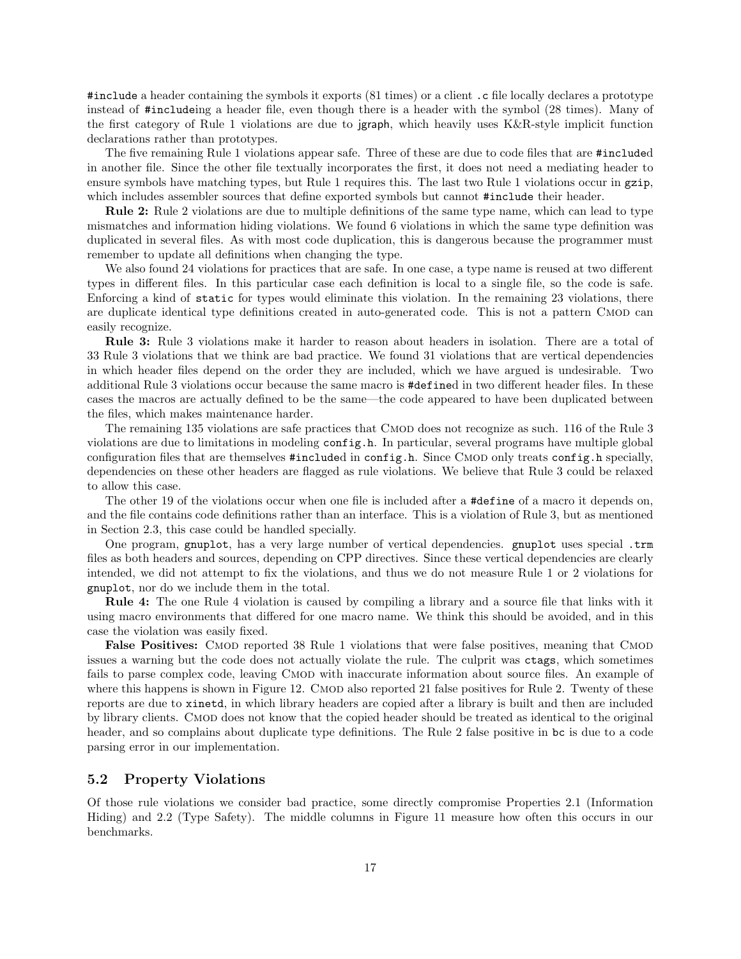#include a header containing the symbols it exports (81 times) or a client .c file locally declares a prototype instead of #includeing a header file, even though there is a header with the symbol (28 times). Many of the first category of Rule 1 violations are due to jgraph, which heavily uses K&R-style implicit function declarations rather than prototypes.

The five remaining Rule 1 violations appear safe. Three of these are due to code files that are #included in another file. Since the other file textually incorporates the first, it does not need a mediating header to ensure symbols have matching types, but Rule 1 requires this. The last two Rule 1 violations occur in gzip, which includes assembler sources that define exported symbols but cannot #include their header.

Rule 2: Rule 2 violations are due to multiple definitions of the same type name, which can lead to type mismatches and information hiding violations. We found 6 violations in which the same type definition was duplicated in several files. As with most code duplication, this is dangerous because the programmer must remember to update all definitions when changing the type.

We also found 24 violations for practices that are safe. In one case, a type name is reused at two different types in different files. In this particular case each definition is local to a single file, so the code is safe. Enforcing a kind of static for types would eliminate this violation. In the remaining 23 violations, there are duplicate identical type definitions created in auto-generated code. This is not a pattern CMOD can easily recognize.

Rule 3: Rule 3 violations make it harder to reason about headers in isolation. There are a total of 33 Rule 3 violations that we think are bad practice. We found 31 violations that are vertical dependencies in which header files depend on the order they are included, which we have argued is undesirable. Two additional Rule 3 violations occur because the same macro is #defined in two different header files. In these cases the macros are actually defined to be the same—the code appeared to have been duplicated between the files, which makes maintenance harder.

The remaining 135 violations are safe practices that CMOD does not recognize as such. 116 of the Rule 3 violations are due to limitations in modeling config.h. In particular, several programs have multiple global configuration files that are themselves #included in config.h. Since CMOD only treats config.h specially, dependencies on these other headers are flagged as rule violations. We believe that Rule 3 could be relaxed to allow this case.

The other 19 of the violations occur when one file is included after a #define of a macro it depends on, and the file contains code definitions rather than an interface. This is a violation of Rule 3, but as mentioned in Section 2.3, this case could be handled specially.

One program, gnuplot, has a very large number of vertical dependencies. gnuplot uses special .trm files as both headers and sources, depending on CPP directives. Since these vertical dependencies are clearly intended, we did not attempt to fix the violations, and thus we do not measure Rule 1 or 2 violations for gnuplot, nor do we include them in the total.

Rule 4: The one Rule 4 violation is caused by compiling a library and a source file that links with it using macro environments that differed for one macro name. We think this should be avoided, and in this case the violation was easily fixed.

False Positives: CMOD reported 38 Rule 1 violations that were false positives, meaning that CMOD issues a warning but the code does not actually violate the rule. The culprit was ctags, which sometimes fails to parse complex code, leaving CMOD with inaccurate information about source files. An example of where this happens is shown in Figure 12. CMOD also reported 21 false positives for Rule 2. Twenty of these reports are due to xinetd, in which library headers are copied after a library is built and then are included by library clients. Cmod does not know that the copied header should be treated as identical to the original header, and so complains about duplicate type definitions. The Rule 2 false positive in bc is due to a code parsing error in our implementation.

#### 5.2 Property Violations

Of those rule violations we consider bad practice, some directly compromise Properties 2.1 (Information Hiding) and 2.2 (Type Safety). The middle columns in Figure 11 measure how often this occurs in our benchmarks.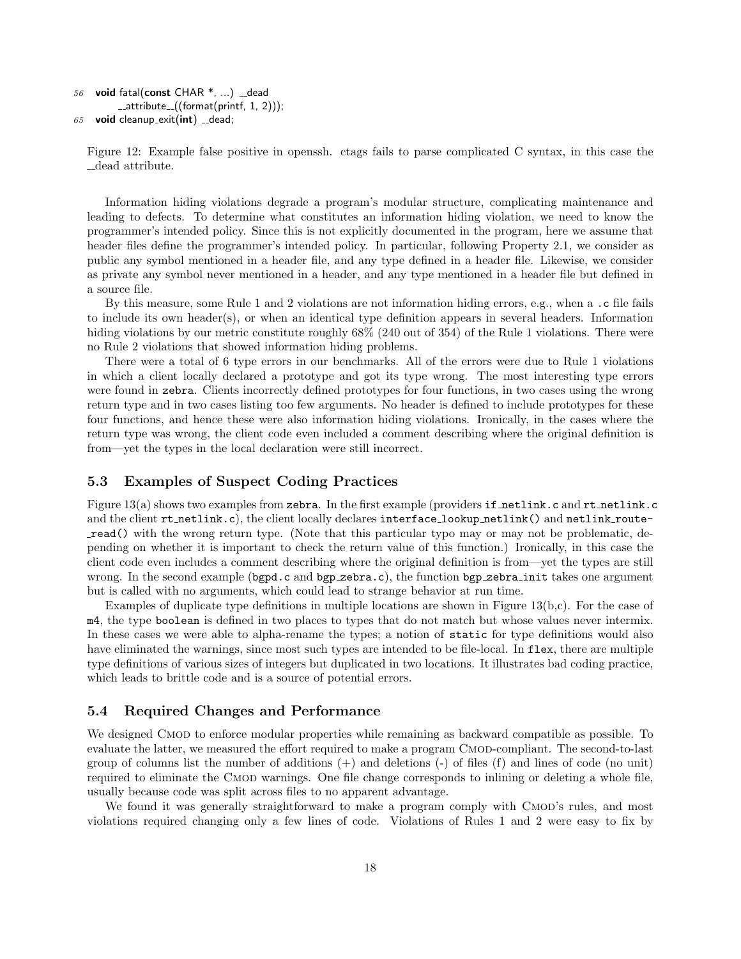```
56 void fatal(const CHAR ^*, ...) __dead
         1 -attribute ((format(printf, 1, 2)));
65 void cleanup_exit(int) __dead;
```
Figure 12: Example false positive in openssh. ctags fails to parse complicated C syntax, in this case the dead attribute.

Information hiding violations degrade a program's modular structure, complicating maintenance and leading to defects. To determine what constitutes an information hiding violation, we need to know the programmer's intended policy. Since this is not explicitly documented in the program, here we assume that header files define the programmer's intended policy. In particular, following Property 2.1, we consider as public any symbol mentioned in a header file, and any type defined in a header file. Likewise, we consider as private any symbol never mentioned in a header, and any type mentioned in a header file but defined in a source file.

By this measure, some Rule 1 and 2 violations are not information hiding errors, e.g., when a .c file fails to include its own header(s), or when an identical type definition appears in several headers. Information hiding violations by our metric constitute roughly  $68\%$  (240 out of 354) of the Rule 1 violations. There were no Rule 2 violations that showed information hiding problems.

There were a total of 6 type errors in our benchmarks. All of the errors were due to Rule 1 violations in which a client locally declared a prototype and got its type wrong. The most interesting type errors were found in zebra. Clients incorrectly defined prototypes for four functions, in two cases using the wrong return type and in two cases listing too few arguments. No header is defined to include prototypes for these four functions, and hence these were also information hiding violations. Ironically, in the cases where the return type was wrong, the client code even included a comment describing where the original definition is from—yet the types in the local declaration were still incorrect.

#### 5.3 Examples of Suspect Coding Practices

Figure 13(a) shows two examples from zebra. In the first example (providers if netlink.c and rt netlink.c and the client rt\_netlink.c), the client locally declares interface\_lookup\_netlink() and netlink\_routeread() with the wrong return type. (Note that this particular typo may or may not be problematic, depending on whether it is important to check the return value of this function.) Ironically, in this case the client code even includes a comment describing where the original definition is from—yet the types are still wrong. In the second example  $(\text{bgpd.c and bgp_zebra.c})$ , the function  $\text{bgp}_z \neq \text{bra.init takes}$  one argument but is called with no arguments, which could lead to strange behavior at run time.

Examples of duplicate type definitions in multiple locations are shown in Figure 13(b,c). For the case of m4, the type boolean is defined in two places to types that do not match but whose values never intermix. In these cases we were able to alpha-rename the types; a notion of static for type definitions would also have eliminated the warnings, since most such types are intended to be file-local. In flex, there are multiple type definitions of various sizes of integers but duplicated in two locations. It illustrates bad coding practice, which leads to brittle code and is a source of potential errors.

#### 5.4 Required Changes and Performance

We designed CMOD to enforce modular properties while remaining as backward compatible as possible. To evaluate the latter, we measured the effort required to make a program CMOD-compliant. The second-to-last group of columns list the number of additions (+) and deletions (-) of files (f) and lines of code (no unit) required to eliminate the Cmod warnings. One file change corresponds to inlining or deleting a whole file, usually because code was split across files to no apparent advantage.

We found it was generally straightforward to make a program comply with CMOD's rules, and most violations required changing only a few lines of code. Violations of Rules 1 and 2 were easy to fix by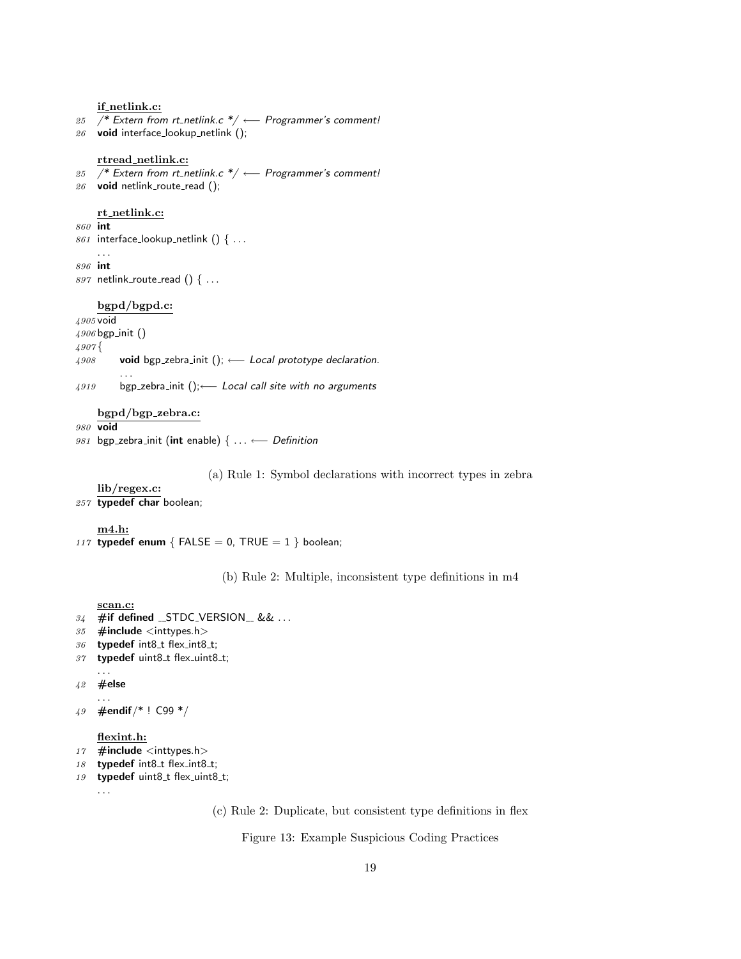#### if netlink.c:

- 25 /\* Extern from rt\_netlink.c \*/ ← Programmer's comment!
- 26 void interface\_lookup\_netlink ();

#### rtread netlink.c:

- 25 /\* Extern from rt\_netlink.c \*/ ← Programmer's comment!
- $26$  void netlink\_route\_read ();

#### rt netlink.c:

- 860 int
- $861$  interface\_lookup\_netlink () { ...

. . . 896 int

 $897$  netlink\_route\_read () { ...

#### bgpd/bgpd.c:

. . .

4905 void

4906 bgp init ()

4907 {

- 4908 void bgp\_zebra\_init (); ← Local prototype declaration.
- 4919 bgp\_zebra\_init ();← Local call site with no arguments

#### bgpd/bgp zebra.c:

980 void

981 bgp\_zebra\_init (int enable) { ... ← Definition

#### (a) Rule 1: Symbol declarations with incorrect types in zebra

lib/regex.c:

257 typedef char boolean;

#### m4.h:

117 typedef enum {  $FALSE = 0$ ,  $TRUE = 1$  } boolean;

(b) Rule 2: Multiple, inconsistent type definitions in m4

#### scan.c:

- $34$  #if defined \_STDC\_VERSION\_ && ...
- 35  $\#$ include <inttypes.h>
- 36 typedef int8\_t flex\_int8\_t;
- 37 typedef uint8\_t flex\_uint8\_t;

```
. . .
42 #else
     . . .
```

```
49 \#endif/* ! C99 */
```
#### flexint.h:

- 17  $\#$ include  $\lt$ inttypes.h $>$
- 18 typedef int8\_t flex\_int8\_t;
- 19 typedef uint8\_t flex\_uint8\_t;

. . .

(c) Rule 2: Duplicate, but consistent type definitions in flex

#### Figure 13: Example Suspicious Coding Practices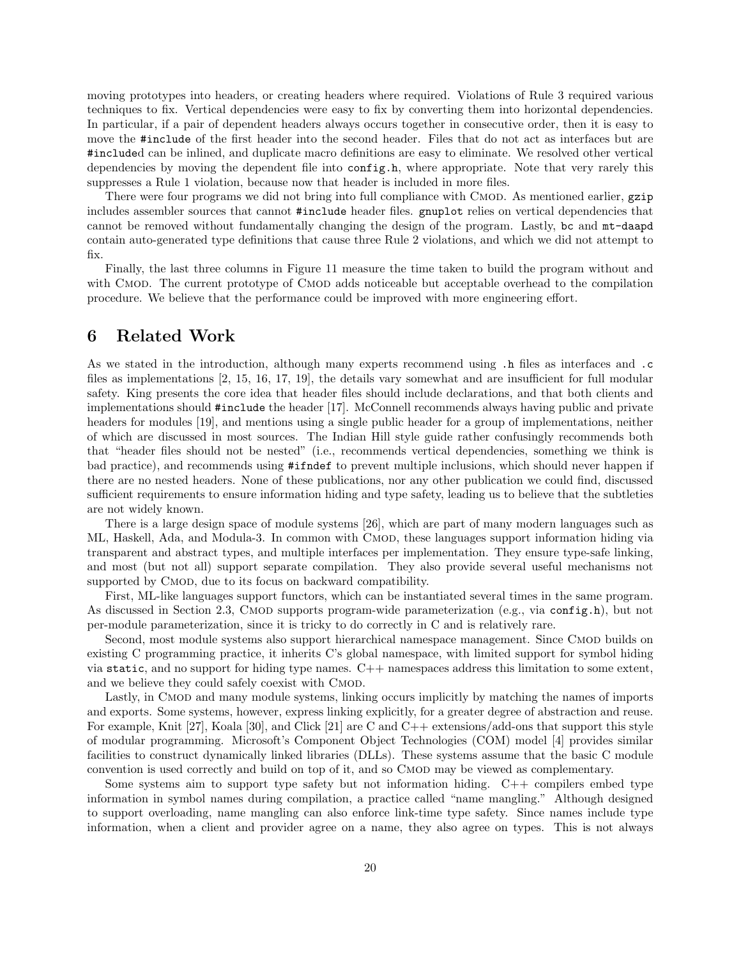moving prototypes into headers, or creating headers where required. Violations of Rule 3 required various techniques to fix. Vertical dependencies were easy to fix by converting them into horizontal dependencies. In particular, if a pair of dependent headers always occurs together in consecutive order, then it is easy to move the #include of the first header into the second header. Files that do not act as interfaces but are #included can be inlined, and duplicate macro definitions are easy to eliminate. We resolved other vertical dependencies by moving the dependent file into config.h, where appropriate. Note that very rarely this suppresses a Rule 1 violation, because now that header is included in more files.

There were four programs we did not bring into full compliance with CMOD. As mentioned earlier, gzip includes assembler sources that cannot #include header files. gnuplot relies on vertical dependencies that cannot be removed without fundamentally changing the design of the program. Lastly, bc and mt-daapd contain auto-generated type definitions that cause three Rule 2 violations, and which we did not attempt to fix.

Finally, the last three columns in Figure 11 measure the time taken to build the program without and with CMOD. The current prototype of CMOD adds noticeable but acceptable overhead to the compilation procedure. We believe that the performance could be improved with more engineering effort.

## 6 Related Work

As we stated in the introduction, although many experts recommend using .h files as interfaces and .c files as implementations [2, 15, 16, 17, 19], the details vary somewhat and are insufficient for full modular safety. King presents the core idea that header files should include declarations, and that both clients and implementations should #include the header [17]. McConnell recommends always having public and private headers for modules [19], and mentions using a single public header for a group of implementations, neither of which are discussed in most sources. The Indian Hill style guide rather confusingly recommends both that "header files should not be nested" (i.e., recommends vertical dependencies, something we think is bad practice), and recommends using #ifndef to prevent multiple inclusions, which should never happen if there are no nested headers. None of these publications, nor any other publication we could find, discussed sufficient requirements to ensure information hiding and type safety, leading us to believe that the subtleties are not widely known.

There is a large design space of module systems [26], which are part of many modern languages such as ML, Haskell, Ada, and Modula-3. In common with CMOD, these languages support information hiding via transparent and abstract types, and multiple interfaces per implementation. They ensure type-safe linking, and most (but not all) support separate compilation. They also provide several useful mechanisms not supported by CMOD, due to its focus on backward compatibility.

First, ML-like languages support functors, which can be instantiated several times in the same program. As discussed in Section 2.3, CMOD supports program-wide parameterization (e.g., via config.h), but not per-module parameterization, since it is tricky to do correctly in C and is relatively rare.

Second, most module systems also support hierarchical namespace management. Since CMOD builds on existing C programming practice, it inherits C's global namespace, with limited support for symbol hiding via static, and no support for hiding type names.  $C++$  namespaces address this limitation to some extent, and we believe they could safely coexist with CMOD.

Lastly, in CMOD and many module systems, linking occurs implicitly by matching the names of imports and exports. Some systems, however, express linking explicitly, for a greater degree of abstraction and reuse. For example, Knit [27], Koala [30], and Click [21] are C and C++ extensions/add-ons that support this style of modular programming. Microsoft's Component Object Technologies (COM) model [4] provides similar facilities to construct dynamically linked libraries (DLLs). These systems assume that the basic C module convention is used correctly and build on top of it, and so CMOD may be viewed as complementary.

Some systems aim to support type safety but not information hiding.  $C++$  compilers embed type information in symbol names during compilation, a practice called "name mangling." Although designed to support overloading, name mangling can also enforce link-time type safety. Since names include type information, when a client and provider agree on a name, they also agree on types. This is not always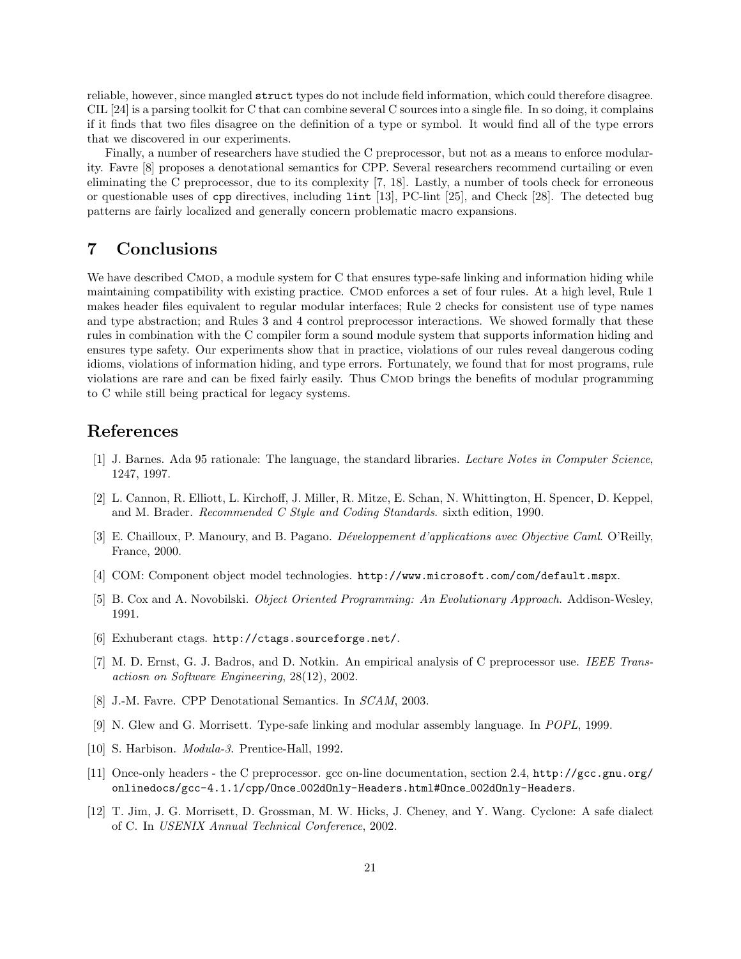reliable, however, since mangled struct types do not include field information, which could therefore disagree. CIL [24] is a parsing toolkit for C that can combine several C sources into a single file. In so doing, it complains if it finds that two files disagree on the definition of a type or symbol. It would find all of the type errors that we discovered in our experiments.

Finally, a number of researchers have studied the C preprocessor, but not as a means to enforce modularity. Favre [8] proposes a denotational semantics for CPP. Several researchers recommend curtailing or even eliminating the C preprocessor, due to its complexity [7, 18]. Lastly, a number of tools check for erroneous or questionable uses of cpp directives, including lint [13], PC-lint [25], and Check [28]. The detected bug patterns are fairly localized and generally concern problematic macro expansions.

# 7 Conclusions

We have described CMOD, a module system for C that ensures type-safe linking and information hiding while maintaining compatibility with existing practice. CMOD enforces a set of four rules. At a high level, Rule 1 makes header files equivalent to regular modular interfaces; Rule 2 checks for consistent use of type names and type abstraction; and Rules 3 and 4 control preprocessor interactions. We showed formally that these rules in combination with the C compiler form a sound module system that supports information hiding and ensures type safety. Our experiments show that in practice, violations of our rules reveal dangerous coding idioms, violations of information hiding, and type errors. Fortunately, we found that for most programs, rule violations are rare and can be fixed fairly easily. Thus CMOD brings the benefits of modular programming to C while still being practical for legacy systems.

# References

- [1] J. Barnes. Ada 95 rationale: The language, the standard libraries. Lecture Notes in Computer Science, 1247, 1997.
- [2] L. Cannon, R. Elliott, L. Kirchoff, J. Miller, R. Mitze, E. Schan, N. Whittington, H. Spencer, D. Keppel, and M. Brader. Recommended C Style and Coding Standards. sixth edition, 1990.
- [3] E. Chailloux, P. Manoury, and B. Pagano. D´eveloppement d'applications avec Objective Caml. O'Reilly, France, 2000.
- [4] COM: Component object model technologies. http://www.microsoft.com/com/default.mspx.
- [5] B. Cox and A. Novobilski. Object Oriented Programming: An Evolutionary Approach. Addison-Wesley, 1991.
- [6] Exhuberant ctags. http://ctags.sourceforge.net/.
- [7] M. D. Ernst, G. J. Badros, and D. Notkin. An empirical analysis of C preprocessor use. IEEE Transactiosn on Software Engineering, 28(12), 2002.
- [8] J.-M. Favre. CPP Denotational Semantics. In SCAM, 2003.
- [9] N. Glew and G. Morrisett. Type-safe linking and modular assembly language. In POPL, 1999.
- [10] S. Harbison. *Modula-3*. Prentice-Hall, 1992.
- [11] Once-only headers the C preprocessor. gcc on-line documentation, section 2.4, http://gcc.gnu.org/ onlinedocs/gcc-4.1.1/cpp/Once 002dOnly-Headers.html#Once 002dOnly-Headers.
- [12] T. Jim, J. G. Morrisett, D. Grossman, M. W. Hicks, J. Cheney, and Y. Wang. Cyclone: A safe dialect of C. In USENIX Annual Technical Conference, 2002.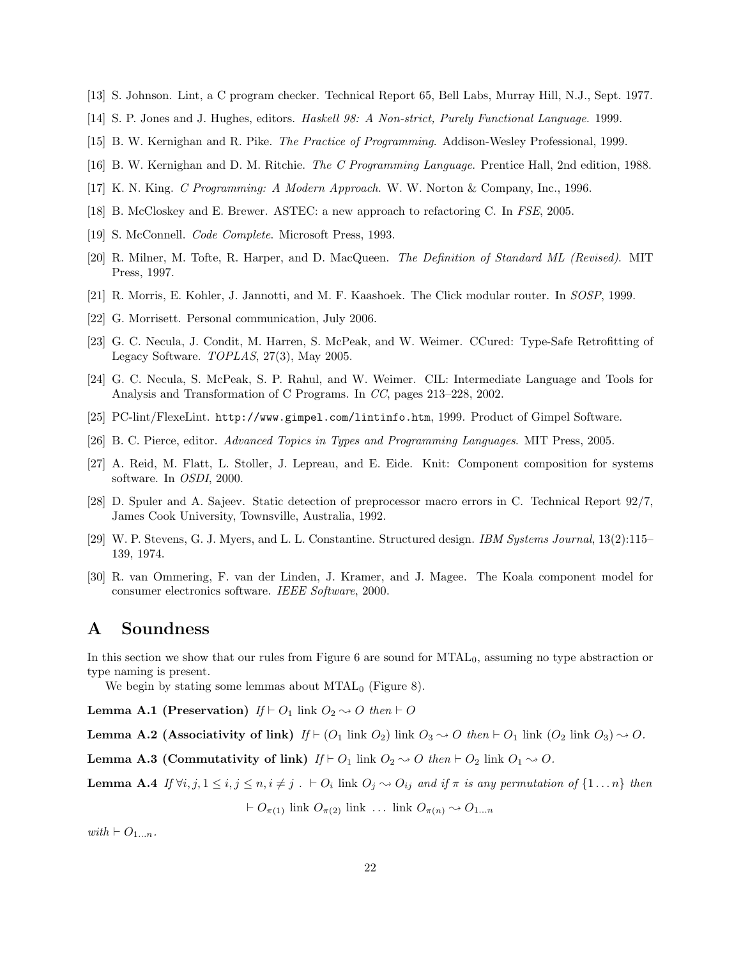- [13] S. Johnson. Lint, a C program checker. Technical Report 65, Bell Labs, Murray Hill, N.J., Sept. 1977.
- [14] S. P. Jones and J. Hughes, editors. Haskell 98: A Non-strict, Purely Functional Language. 1999.
- [15] B. W. Kernighan and R. Pike. The Practice of Programming. Addison-Wesley Professional, 1999.
- [16] B. W. Kernighan and D. M. Ritchie. The C Programming Language. Prentice Hall, 2nd edition, 1988.
- [17] K. N. King. C Programming: A Modern Approach. W. W. Norton & Company, Inc., 1996.
- [18] B. McCloskey and E. Brewer. ASTEC: a new approach to refactoring C. In FSE, 2005.
- [19] S. McConnell. Code Complete. Microsoft Press, 1993.
- [20] R. Milner, M. Tofte, R. Harper, and D. MacQueen. The Definition of Standard ML (Revised). MIT Press, 1997.
- [21] R. Morris, E. Kohler, J. Jannotti, and M. F. Kaashoek. The Click modular router. In SOSP, 1999.
- [22] G. Morrisett. Personal communication, July 2006.
- [23] G. C. Necula, J. Condit, M. Harren, S. McPeak, and W. Weimer. CCured: Type-Safe Retrofitting of Legacy Software. TOPLAS, 27(3), May 2005.
- [24] G. C. Necula, S. McPeak, S. P. Rahul, and W. Weimer. CIL: Intermediate Language and Tools for Analysis and Transformation of C Programs. In CC, pages 213–228, 2002.
- [25] PC-lint/FlexeLint. http://www.gimpel.com/lintinfo.htm, 1999. Product of Gimpel Software.
- [26] B. C. Pierce, editor. Advanced Topics in Types and Programming Languages. MIT Press, 2005.
- [27] A. Reid, M. Flatt, L. Stoller, J. Lepreau, and E. Eide. Knit: Component composition for systems software. In OSDI, 2000.
- [28] D. Spuler and A. Sajeev. Static detection of preprocessor macro errors in C. Technical Report 92/7, James Cook University, Townsville, Australia, 1992.
- [29] W. P. Stevens, G. J. Myers, and L. L. Constantine. Structured design. IBM Systems Journal, 13(2):115– 139, 1974.
- [30] R. van Ommering, F. van der Linden, J. Kramer, and J. Magee. The Koala component model for consumer electronics software. IEEE Software, 2000.

# A Soundness

In this section we show that our rules from Figure 6 are sound for  $MTAL<sub>0</sub>$ , assuming no type abstraction or type naming is present.

We begin by stating some lemmas about  $MTAL<sub>0</sub>$  (Figure 8).

**Lemma A.1 (Preservation)** If  $\vdash O_1$  link  $O_2 \sim O$  then  $\vdash O$ 

**Lemma A.2 (Associativity of link)** If  $\vdash (O_1 \text{ link } O_2)$  link  $O_3 \rightarrow O$  then  $\vdash O_1$  link  $(O_2 \text{ link } O_3) \rightarrow O$ .

**Lemma A.3 (Commutativity of link)** If  $\vdash O_1$  link  $O_2 \rightarrow O$  then  $\vdash O_2$  link  $O_1 \rightarrow O$ .

**Lemma A.4** If  $\forall i, j, 1 \le i, j \le n, i \ne j$ .  $\vdash O_i$  link  $O_j \rightsquigarrow O_{ij}$  and if  $\pi$  is any permutation of  $\{1 \dots n\}$  then

$$
\vdash O_{\pi(1)} \text{ link } O_{\pi(2)} \text{ link } \dots \text{ link } O_{\pi(n)} \sim O_{1...n}
$$

with  $\vdash O_{1...n}$ .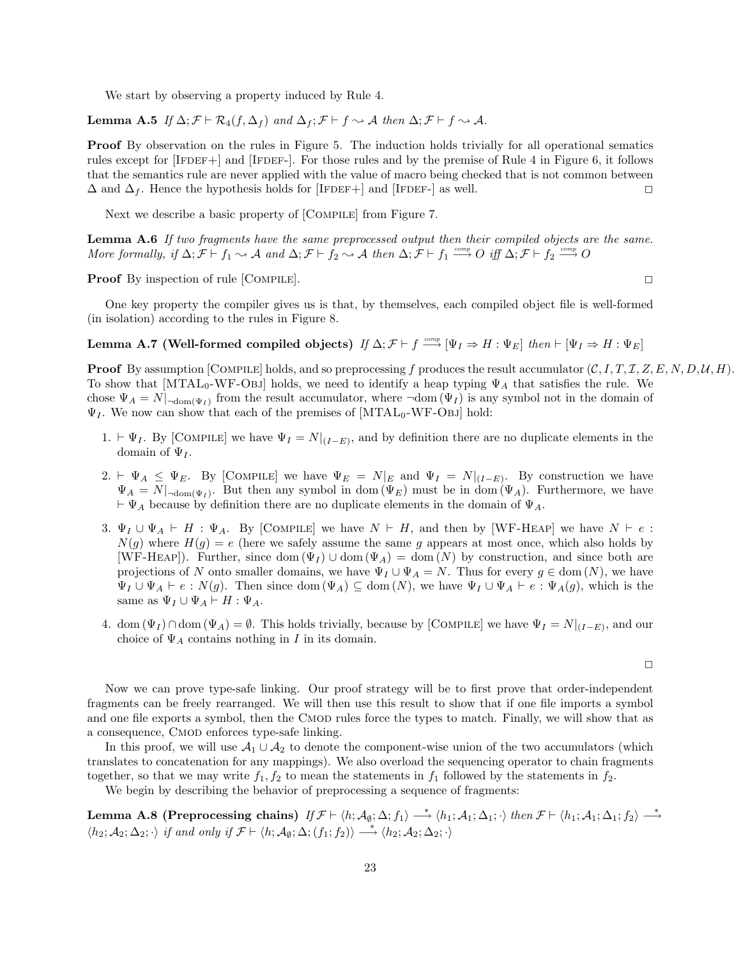We start by observing a property induced by Rule 4.

**Lemma A.5** If  $\Delta; \mathcal{F} \vdash \mathcal{R}_4(f, \Delta_f)$  and  $\Delta_f; \mathcal{F} \vdash f \leadsto \mathcal{A}$  then  $\Delta; \mathcal{F} \vdash f \leadsto \mathcal{A}$ .

Proof By observation on the rules in Figure 5. The induction holds trivially for all operational sematics rules except for [IFDEF+] and [IFDEF-]. For those rules and by the premise of Rule 4 in Figure 6, it follows that the semantics rule are never applied with the value of macro being checked that is not common between  $\Delta$  and  $\Delta_f$ . Hence the hypothesis holds for [IFDEF+] and [IFDEF-] as well.  $\square$ 

Next we describe a basic property of [COMPILE] from Figure 7.

Lemma A.6 If two fragments have the same preprocessed output then their compiled objects are the same. More formally, if  $\Delta; \mathcal{F} \vdash f_1 \leadsto \mathcal{A}$  and  $\Delta; \mathcal{F} \vdash f_2 \leadsto \mathcal{A}$  then  $\Delta; \mathcal{F} \vdash f_1 \stackrel{comp}{\longrightarrow} O$  iff  $\Delta; \mathcal{F} \vdash f_2 \stackrel{comp}{\longrightarrow} O$ 

**Proof** By inspection of rule [COMPILE].  $\Box$ 

One key property the compiler gives us is that, by themselves, each compiled object file is well-formed (in isolation) according to the rules in Figure 8.

### Lemma A.7 (Well-formed compiled objects)  $\textit{If } \Delta; \mathcal{F} \vdash f \xrightarrow{comp} [\Psi_I \Rightarrow H : \Psi_E] \textit{ then } \vdash [\Psi_I \Rightarrow H : \Psi_E]$

**Proof** By assumption [COMPILE] holds, and so preprocessing f produces the result accumulator  $(C, I, T, \mathcal{I}, Z, E, N, D, \mathcal{U}, H)$ . To show that  $[MTAL_0-WF-OBJ]$  holds, we need to identify a heap typing  $\Psi_A$  that satisfies the rule. We chose  $\Psi_A = N|_{\text{dom}(\Psi_I)}$  from the result accumulator, where  $\text{dom}(\Psi_I)$  is any symbol not in the domain of  $\Psi_I$ . We now can show that each of the premises of [MTAL<sub>0</sub>-WF-Obj] hold:

- 1.  $\vdash \Psi_I$ . By [COMPILE] we have  $\Psi_I = N|_{(I-E)}$ , and by definition there are no duplicate elements in the domain of  $\Psi_I$ .
- 2.  $\vdash \Psi_A \leq \Psi_E$ . By [COMPILE] we have  $\Psi_E = N|_E$  and  $\Psi_I = N|_{(I-E)}$ . By construction we have  $\Psi_A = N|_{\neg \text{dom}(\Psi_I)}$ . But then any symbol in dom  $(\Psi_E)$  must be in dom  $(\Psi_A)$ . Furthermore, we have  $\vdash \Psi_A$  because by definition there are no duplicate elements in the domain of  $\Psi_A$ .
- 3.  $\Psi_I \cup \Psi_A \vdash H : \Psi_A$ . By [COMPILE] we have  $N \vdash H$ , and then by [WF-HEAP] we have  $N \vdash e$ :  $N(g)$  where  $H(g) = e$  (here we safely assume the same g appears at most once, which also holds by [WF-HEAP]). Further, since dom  $(\Psi_I) \cup$  dom  $(\Psi_A) =$  dom  $(N)$  by construction, and since both are projections of N onto smaller domains, we have  $\Psi_I \cup \Psi_A = N$ . Thus for every  $g \in \text{dom}(N)$ , we have  $\Psi_I \cup \Psi_A \vdash e : N(g)$ . Then since dom  $(\Psi_A) \subseteq \text{dom}(N)$ , we have  $\Psi_I \cup \Psi_A \vdash e : \Psi_A(g)$ , which is the same as  $\Psi_I \cup \Psi_A \vdash H : \Psi_A$ .
- 4. dom  $(\Psi_I) \cap$  dom  $(\Psi_A) = \emptyset$ . This holds trivially, because by [COMPILE] we have  $\Psi_I = N|_{(I-E)}$ , and our choice of  $\Psi_A$  contains nothing in I in its domain.

 $\Box$ 

Now we can prove type-safe linking. Our proof strategy will be to first prove that order-independent fragments can be freely rearranged. We will then use this result to show that if one file imports a symbol and one file exports a symbol, then the CMOD rules force the types to match. Finally, we will show that as a consequence, Cmod enforces type-safe linking.

In this proof, we will use  $A_1 \cup A_2$  to denote the component-wise union of the two accumulators (which translates to concatenation for any mappings). We also overload the sequencing operator to chain fragments together, so that we may write  $f_1, f_2$  to mean the statements in  $f_1$  followed by the statements in  $f_2$ .

We begin by describing the behavior of preprocessing a sequence of fragments:

Lemma A.8 (Preprocessing chains)  $If \mathcal{F} \vdash \langle h; \mathcal{A}_{\emptyset}; \Delta; f_1 \rangle \stackrel{*}{\longrightarrow} \langle h_1; \mathcal{A}_1; \Delta_1; \cdot \rangle \ then \ \mathcal{F} \vdash \langle h_1; \mathcal{A}_1; \Delta_1; f_2 \rangle \stackrel{*}{\longrightarrow}$  $\langle h_2; \mathcal{A}_2; \Delta_2; \cdot \rangle$  if and only if  $\mathcal{F} \vdash \langle h; \mathcal{A}_{\emptyset}; \Delta; (f_1; f_2) \rangle \stackrel{*}{\longrightarrow} \langle h_2; \mathcal{A}_2; \Delta_2; \cdot \rangle$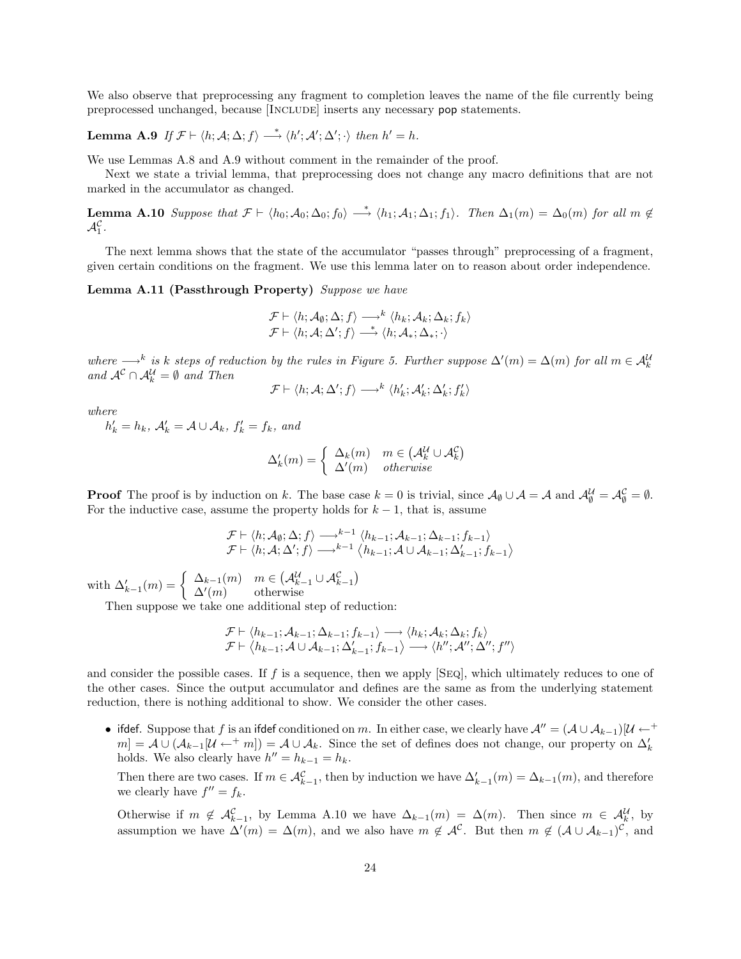We also observe that preprocessing any fragment to completion leaves the name of the file currently being preprocessed unchanged, because [Include] inserts any necessary pop statements.

**Lemma A.9** If  $\mathcal{F} \vdash \langle h; \mathcal{A}; \Delta; f \rangle \stackrel{*}{\longrightarrow} \langle h'; \mathcal{A}'; \Delta'; \cdot \rangle$  then  $h' = h$ .

We use Lemmas A.8 and A.9 without comment in the remainder of the proof.

Next we state a trivial lemma, that preprocessing does not change any macro definitions that are not marked in the accumulator as changed.

**Lemma A.10** Suppose that  $\mathcal{F} \vdash \langle h_0; \mathcal{A}_0; \Delta_0; f_0 \rangle \stackrel{*}{\longrightarrow} \langle h_1; \mathcal{A}_1; \Delta_1; f_1 \rangle$ . Then  $\Delta_1(m) = \Delta_0(m)$  for all  $m \notin \mathcal{F}$  $\mathcal{A}^{\mathcal{C}}_1.$ 

The next lemma shows that the state of the accumulator "passes through" preprocessing of a fragment, given certain conditions on the fragment. We use this lemma later on to reason about order independence.

Lemma A.11 (Passthrough Property) Suppose we have

$$
\mathcal{F} \vdash \langle h; \mathcal{A}_{\emptyset}; \Delta; f \rangle \longrightarrow^k \langle h_k; \mathcal{A}_k; \Delta_k; f_k \rangle \n\mathcal{F} \vdash \langle h; \mathcal{A}; \Delta'; f \rangle \longrightarrow^* \langle h; \mathcal{A}_*; \Delta_*; \cdot \rangle
$$

where  $\rightarrow^k$  is k steps of reduction by the rules in Figure 5. Further suppose  $\Delta'(m) = \Delta(m)$  for all  $m \in \mathcal{A}_k^{\mathcal{U}}$ and  $\mathcal{A}^{\mathcal{C}} \cap \mathcal{A}_{k}^{\mathcal{U}} = \emptyset$  and Then

$$
\mathcal{F} \vdash \langle h; \mathcal{A}; \Delta'; f \rangle \longrightarrow^k \langle h'_k; \mathcal{A}'_k; \Delta'_k; f'_k \rangle
$$

where

 $h'_k = h_k$ ,  $\mathcal{A}'_k = \mathcal{A} \cup \mathcal{A}_k$ ,  $f'_k = f_k$ , and

$$
\Delta'_k(m) = \begin{cases} \Delta_k(m) & m \in (\mathcal{A}_k^{\mathcal{U}} \cup \mathcal{A}_k^{\mathcal{C}}) \\ \Delta'(m) & otherwise \end{cases}
$$

**Proof** The proof is by induction on k. The base case  $k = 0$  is trivial, since  $\mathcal{A}_{\emptyset} \cup \mathcal{A} = \mathcal{A}$  and  $\mathcal{A}_{\emptyset}^{\mathcal{U}} = \mathcal{A}_{\emptyset}^{\mathcal{C}} = \emptyset$ . For the inductive case, assume the property holds for  $k - 1$ , that is, assume

$$
\mathcal{F} \vdash \langle h; \mathcal{A}_{\emptyset}; \Delta; f \rangle \longrightarrow^{k-1} \langle h_{k-1}; \mathcal{A}_{k-1}; \Delta_{k-1}; f_{k-1} \rangle \n\mathcal{F} \vdash \langle h; \mathcal{A}; \Delta'; f \rangle \longrightarrow^{k-1} \langle h_{k-1}; \mathcal{A} \cup \mathcal{A}_{k-1}; \Delta'_{k-1}; f_{k-1} \rangle
$$

with  $\Delta'_{k-1}(m) = \begin{cases} \Delta_{k-1}(m) & m \in (\mathcal{A}_{k-1}^{\mathcal{U}} \cup \mathcal{A}_{k-1}^{\mathcal{C}}) \\ \Delta' (m) & \text{otherwise} \end{cases}$  $\Delta'(m)$  otherwise

Then suppose we take one additional step of reduction:

$$
\mathcal{F} \vdash \langle h_{k-1}; A_{k-1}; \Delta_{k-1}; f_{k-1} \rangle \longrightarrow \langle h_k; A_k; \Delta_k; f_k \rangle \n\mathcal{F} \vdash \langle h_{k-1}; A \cup A_{k-1}; \Delta'_{k-1}; f_{k-1} \rangle \longrightarrow \langle h''; A''; \Delta''; f'' \rangle
$$

and consider the possible cases. If f is a sequence, then we apply [Seq], which ultimately reduces to one of the other cases. Since the output accumulator and defines are the same as from the underlying statement reduction, there is nothing additional to show. We consider the other cases.

• ifdef. Suppose that f is an ifdef conditioned on m. In either case, we clearly have  $\mathcal{A}'' = (\mathcal{A} \cup \mathcal{A}_{k-1})[\mathcal{U} \leftarrow^+$  $m] = A \cup (A_{k-1}[U \leftarrow^+ m]) = A \cup A_k$ . Since the set of defines does not change, our property on  $\Delta'_k$ holds. We also clearly have  $h'' = h_{k-1} = h_k$ .

Then there are two cases. If  $m \in \mathcal{A}_{k-1}^{\mathcal{C}}$ , then by induction we have  $\Delta'_{k-1}(m) = \Delta_{k-1}(m)$ , and therefore we clearly have  $f'' = f_k$ .

Otherwise if  $m \notin \mathcal{A}_{k-1}^{\mathcal{C}}$ , by Lemma A.10 we have  $\Delta_{k-1}(m) = \Delta(m)$ . Then since  $m \in \mathcal{A}_{k}^{\mathcal{U}}$ , by assumption we have  $\Delta'(m) = \Delta(m)$ , and we also have  $m \notin \mathcal{A}^{\mathcal{C}}$ . But then  $m \notin (\mathcal{A} \cup \mathcal{A}_{k-1})^{\mathcal{C}}$ , and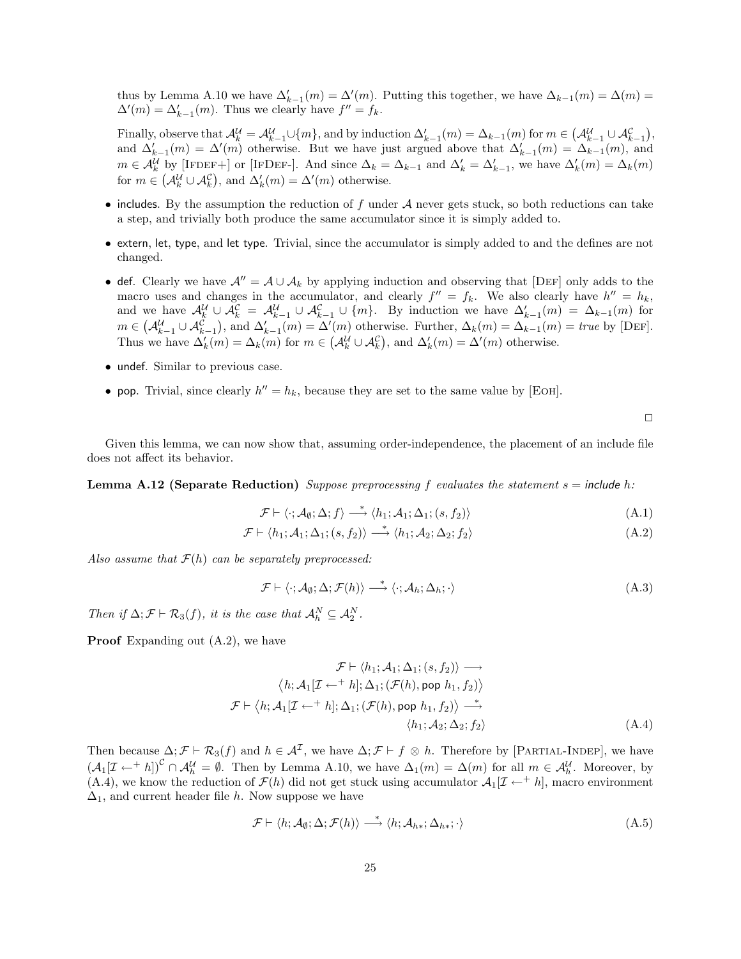thus by Lemma A.10 we have  $\Delta'_{k-1}(m) = \Delta'(m)$ . Putting this together, we have  $\Delta_{k-1}(m) = \Delta(m)$  $\Delta'(m) = \Delta'_{k-1}(m)$ . Thus we clearly have  $f'' = f_k$ .

Finally, observe that  $\mathcal{A}_{k}^{\mathcal{U}} = \mathcal{A}_{k-1}^{\mathcal{U}} \cup \{m\}$ , and by induction  $\Delta'_{k-1}(m) = \Delta_{k-1}(m)$  for  $m \in (\mathcal{A}_{k-1}^{\mathcal{U}} \cup \mathcal{A}_{k-1}^{\mathcal{C}})$ , and  $\Delta'_{k-1}(m) = \Delta'(m)$  otherwise. But we have just argued above that  $\Delta'_{k-1}(m) = \Delta_{k-1}(m)$ , and  $m \in \mathcal{A}_{k}^{\mathcal{U}}$  by [IFDEF+] or [IFDEF-]. And since  $\Delta_{k} = \Delta_{k-1}$  and  $\Delta'_{k} = \Delta'_{k-1}$ , we have  $\Delta'_{k}(m) = \Delta_{k}(m)$ for  $m \in (\mathcal{A}_k^{\mathcal{U}} \cup \mathcal{A}_k^{\mathcal{C}}),$  and  $\Delta'_k(m) = \Delta'(m)$  otherwise.

- includes. By the assumption the reduction of f under  $A$  never gets stuck, so both reductions can take a step, and trivially both produce the same accumulator since it is simply added to.
- extern, let, type, and let type. Trivial, since the accumulator is simply added to and the defines are not changed.
- def. Clearly we have  $A'' = A \cup A_k$  by applying induction and observing that [DEF] only adds to the macro uses and changes in the accumulator, and clearly  $f'' = f_k$ . We also clearly have  $h'' = h_k$ , and we have  $\mathcal{A}_{k}^{\mathcal{U}} \cup \mathcal{A}_{k}^{\mathcal{C}} = \mathcal{A}_{k-1}^{\mathcal{U}} \cup \mathcal{A}_{k-1}^{\mathcal{C}} \cup \{m\}$ . By induction we have  $\Delta'_{k-1}(m) = \Delta_{k-1}(m)$  for  $m \in (\mathcal{A}_{k-1}^{\mathcal{U}} \cup \mathcal{A}_{k-1}^{\mathcal{C}})$ , and  $\Delta'_{k-1}(m) = \Delta'(m)$  otherwise. Further,  $\Delta_k(m) = \Delta_{k-1}(m) = true$  by [DEF]. Thus we have  $\Delta'_k(m) = \Delta_k(m)$  for  $m \in (\mathcal{A}_k^{\mathcal{U}} \cup \mathcal{A}_k^{\mathcal{C}})$ , and  $\Delta'_k(m) = \Delta'(m)$  otherwise.
- undef. Similar to previous case.
- pop. Trivial, since clearly  $h'' = h_k$ , because they are set to the same value by [EOH].

 $\Box$ 

Given this lemma, we can now show that, assuming order-independence, the placement of an include file does not affect its behavior.

**Lemma A.12 (Separate Reduction)** Suppose preprocessing f evaluates the statement  $s =$  include h:

$$
\mathcal{F} \vdash \langle \cdot; \mathcal{A}_{\emptyset}; \Delta; f \rangle \stackrel{*}{\longrightarrow} \langle h_1; \mathcal{A}_1; \Delta_1; (s, f_2) \rangle \tag{A.1}
$$

$$
\mathcal{F} \vdash \langle h_1; \mathcal{A}_1; \Delta_1; (s, f_2) \rangle \stackrel{*}{\longrightarrow} \langle h_1; \mathcal{A}_2; \Delta_2; f_2 \rangle \tag{A.2}
$$

Also assume that  $\mathcal{F}(h)$  can be separately preprocessed:

$$
\mathcal{F} \vdash \langle \cdot; \mathcal{A}_{\emptyset}; \Delta; \mathcal{F}(h) \rangle \stackrel{*}{\longrightarrow} \langle \cdot; \mathcal{A}_h; \Delta_h; \cdot \rangle \tag{A.3}
$$

Then if  $\Delta; \mathcal{F} \vdash \mathcal{R}_3(f)$ , it is the case that  $\mathcal{A}_h^N \subseteq \mathcal{A}_2^N$ .

**Proof** Expanding out  $(A.2)$ , we have

$$
\mathcal{F} \vdash \langle h_1; \mathcal{A}_1; (\mathcal{S}, f_2) \rangle \longrightarrow
$$
\n
$$
\langle h; \mathcal{A}_1[\mathcal{I} \leftarrow^+ h]; \Delta_1; (\mathcal{F}(h), \text{pop } h_1, f_2) \rangle
$$
\n
$$
\mathcal{F} \vdash \langle h; \mathcal{A}_1[\mathcal{I} \leftarrow^+ h]; \Delta_1; (\mathcal{F}(h), \text{pop } h_1, f_2) \rangle \xrightarrow{\ast}
$$
\n
$$
\langle h_1; \mathcal{A}_2; \Delta_2; f_2 \rangle
$$
\n(A.4)

Then because  $\Delta; \mathcal{F} \vdash \mathcal{R}_3(f)$  and  $h \in \mathcal{A}^{\mathcal{I}}$ , we have  $\Delta; \mathcal{F} \vdash f \otimes h$ . Therefore by [PARTIAL-INDEP], we have  $(\mathcal{A}_1[\mathcal{I} \leftarrow^+ h])^c \cap \mathcal{A}_h^{\mathcal{U}} = \emptyset$ . Then by Lemma A.10, we have  $\Delta_1(m) = \Delta(m)$  for all  $m \in \mathcal{A}_h^{\mathcal{U}}$ . Moreover, by (A.4), we know the reduction of  $\mathcal{F}(h)$  did not get stuck using accumulator  $\mathcal{A}_1[\mathcal{I} \leftarrow^+ h]$ , macro environment  $\Delta_1$ , and current header file h. Now suppose we have

$$
\mathcal{F} \vdash \langle h; \mathcal{A}_{\emptyset}; \Delta; \mathcal{F}(h) \rangle \stackrel{*}{\longrightarrow} \langle h; \mathcal{A}_{h*}; \Delta_{h*}; \cdot \rangle \tag{A.5}
$$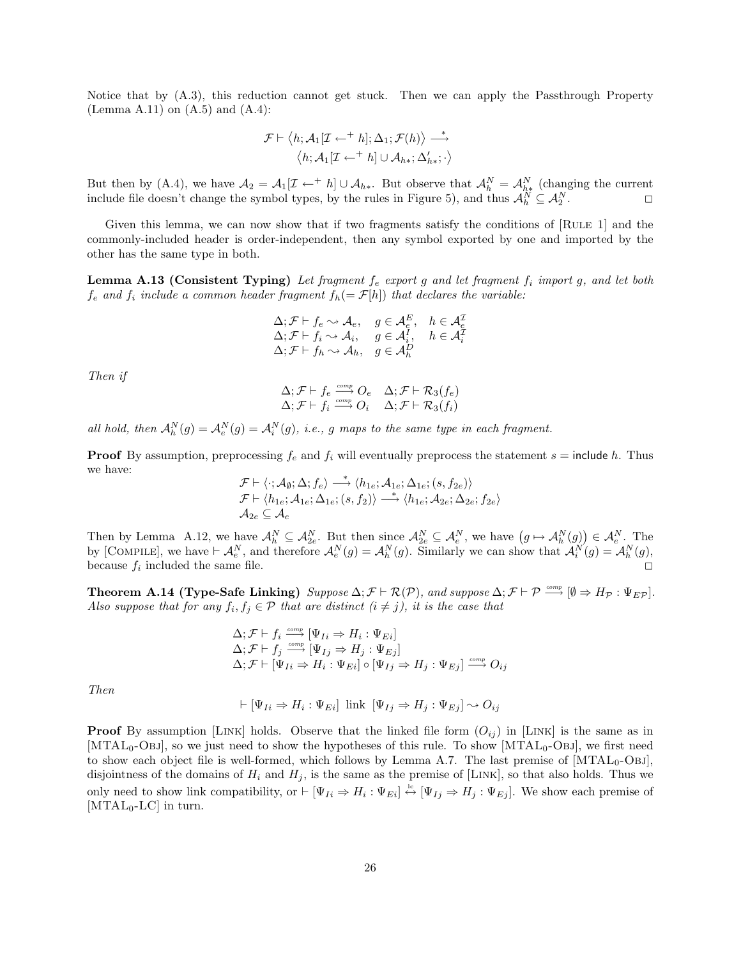Notice that by (A.3), this reduction cannot get stuck. Then we can apply the Passthrough Property (Lemma A.11) on  $(A.5)$  and  $(A.4)$ :

$$
\mathcal{F} \vdash \langle h; \mathcal{A}_1[\mathcal{I} \leftarrow^+ h]; \Delta_1; \mathcal{F}(h) \rangle \stackrel{*}{\longrightarrow} \langle h; \mathcal{A}_1[\mathcal{I} \leftarrow^+ h] \cup \mathcal{A}_{h*}; \Delta'_{h*}; \cdot \rangle
$$

But then by (A.4), we have  $\mathcal{A}_2 = \mathcal{A}_1[\mathcal{I} \leftarrow^+ h] \cup \mathcal{A}_{h*}$ . But observe that  $\mathcal{A}_h^N = \mathcal{A}_{h*}^N$  (changing the current include file doesn't change the symbol types, by the rules in Figure 5), and thus  $\mathcal{A}_h^N \subseteq \mathcal{A}_2^N$ .

Given this lemma, we can now show that if two fragments satisfy the conditions of [RULE 1] and the commonly-included header is order-independent, then any symbol exported by one and imported by the other has the same type in both.

**Lemma A.13 (Consistent Typing)** Let fragment  $f_e$  export g and let fragment  $f_i$  import g, and let both  $f_e$  and  $f_i$  include a common header fragment  $f_h(=\mathcal{F}[h])$  that declares the variable:

$$
\Delta; \mathcal{F} \vdash f_e \sim \mathcal{A}_e, \quad g \in \mathcal{A}_e^E, \quad h \in \mathcal{A}_e^{\mathcal{I}} \n\Delta; \mathcal{F} \vdash f_i \sim \mathcal{A}_i, \quad g \in \mathcal{A}_i^I, \quad h \in \mathcal{A}_i^{\mathcal{I}} \n\Delta; \mathcal{F} \vdash f_h \sim \mathcal{A}_h, \quad g \in \mathcal{A}_h^D
$$

Then if

$$
\Delta; \mathcal{F} \vdash f_e \stackrel{comp}{\longrightarrow} O_e \quad \Delta; \mathcal{F} \vdash \mathcal{R}_3(f_e) \Delta; \mathcal{F} \vdash f_i \stackrel{comp}{\longrightarrow} O_i \quad \Delta; \mathcal{F} \vdash \mathcal{R}_3(f_i)
$$

all hold, then  $A_h^N(g) = A_e^N(g) = A_i^N(g)$ , i.e., g maps to the same type in each fragment.

**Proof** By assumption, preprocessing  $f_e$  and  $f_i$  will eventually preprocess the statement  $s =$  include h. Thus we have:

$$
\mathcal{F} \vdash \langle \cdot; \mathcal{A}_{\emptyset}; \Delta; f_e \rangle \stackrel{*}{\longrightarrow} \langle h_{1e}; \mathcal{A}_{1e}; \Delta_{1e}; (s, f_{2e}) \rangle \n\mathcal{F} \vdash \langle h_{1e}; \mathcal{A}_{1e}; \Delta_{1e}; (s, f_2) \rangle \stackrel{*}{\longrightarrow} \langle h_{1e}; \mathcal{A}_{2e}; \Delta_{2e}; f_{2e} \rangle \n\mathcal{A}_{2e} \subseteq \mathcal{A}_e
$$

Then by Lemma A.12, we have  $\mathcal{A}_h^N \subseteq \mathcal{A}_{2e}^N$ . But then since  $\mathcal{A}_{2e}^N \subseteq \mathcal{A}_{e}^N$ , we have  $(g \mapsto \mathcal{A}_{h}^N(g)) \in \mathcal{A}_{e}^N$ . The by [COMPILE], we have  $\vdash A_e^N$ , and therefore  $A_e^N(g) = A_h^N(g)$ . Similarly we can show that  $A_i^N(g) = A_h^N(g)$ , because  $f_i$  included the same file. included the same file.  $\Box$ 

Theorem A.14 (Type-Safe Linking) Suppose  $\Delta; \mathcal{F} \vdash \mathcal{R}(\mathcal{P})$ , and suppose  $\Delta; \mathcal{F} \vdash \mathcal{P} \stackrel{comp}{\longrightarrow} [\emptyset \Rightarrow H_{\mathcal{P}} : \Psi_{EP}]$ . Also suppose that for any  $f_i, f_j \in \mathcal{P}$  that are distinct  $(i \neq j)$ , it is the case that

$$
\Delta; \mathcal{F} \vdash f_i \xrightarrow{comp} [\Psi_{Ii} \Rightarrow H_i : \Psi_{Ei}]
$$
  
\n
$$
\Delta; \mathcal{F} \vdash f_j \xrightarrow{comp} [\Psi_{Ij} \Rightarrow H_j : \Psi_{Ej}]
$$
  
\n
$$
\Delta; \mathcal{F} \vdash [\Psi_{Ii} \Rightarrow H_i : \Psi_{Ei}] \circ [\Psi_{Ij} \Rightarrow H_j : \Psi_{Ej}] \xrightarrow{comp} O_{ij}
$$

Then

$$
\vdash [\Psi_{Ii} \Rightarrow H_i : \Psi_{Ei}] \text{ link } [\Psi_{Ij} \Rightarrow H_j : \Psi_{Ej}] \sim O_{ij}
$$

**Proof** By assumption [LINK] holds. Observe that the linked file form  $(O_{ij})$  in [LINK] is the same as in [MTAL<sub>0</sub>-Obj], so we just need to show the hypotheses of this rule. To show [MTAL<sub>0</sub>-Obj], we first need to show each object file is well-formed, which follows by Lemma A.7. The last premise of  $[MTAL_0-OBJ]$ . disjointness of the domains of  $H_i$  and  $H_j$ , is the same as the premise of [LINK], so that also holds. Thus we only need to show link compatibility, or  $\vdash [\Psi_{Ii} \Rightarrow H_i : \Psi_{Ei}] \stackrel{\text{lc}}{\leftrightarrow} [\Psi_{Ij} \Rightarrow H_j : \Psi_{Ej}]$ . We show each premise of  $[MTAL_0-LC]$  in turn.